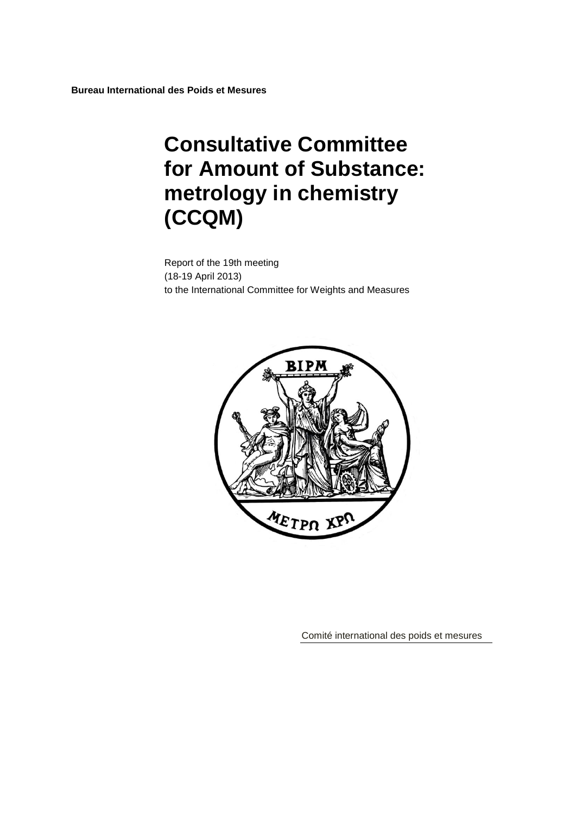# **Consultative Committee for Amount of Substance: metrology in chemistry (CCQM)**

Report of the 19th meeting (18-19 April 2013) to the International Committee for Weights and Measures



Comité international des poids et mesures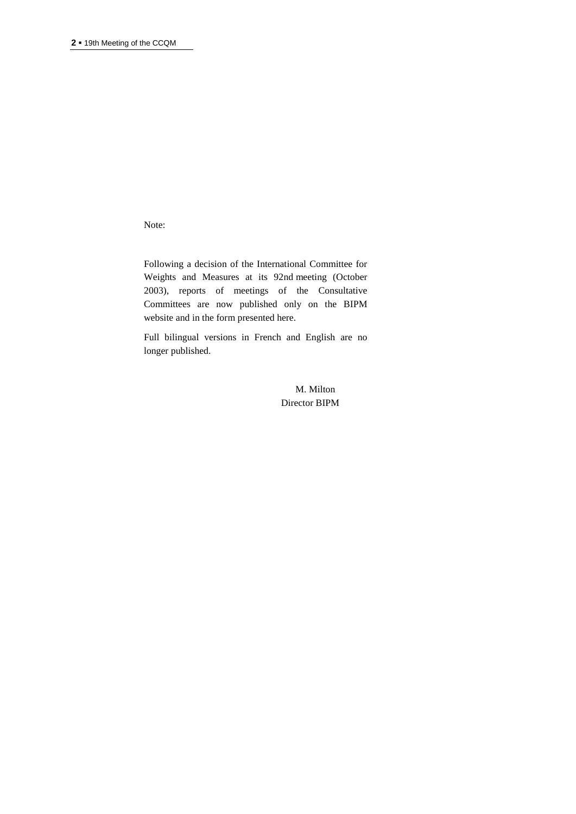Note:

Following a decision of the International Committee for Weights and Measures at its 92nd meeting (October 2003), reports of meetings of the Consultative Committees are now published only on the BIPM website and in the form presented here.

Full bilingual versions in French and English are no longer published.

> M. Milton Director BIPM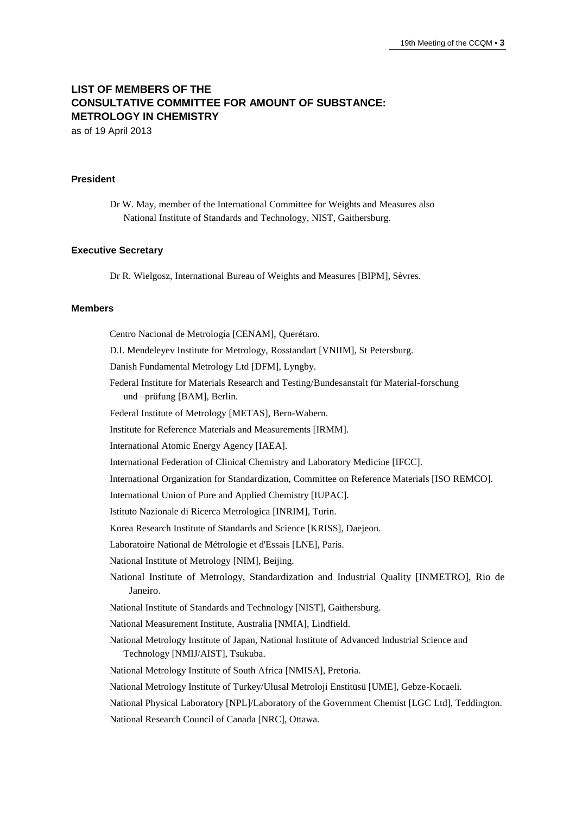# **LIST OF MEMBERS OF THE CONSULTATIVE COMMITTEE FOR AMOUNT OF SUBSTANCE: METROLOGY IN CHEMISTRY**

as of 19 April 2013

#### **President**

Dr W. May, member of the International Committee for Weights and Measures also National Institute of Standards and Technology, NIST, Gaithersburg.

#### **Executive Secretary**

Dr R. Wielgosz, International Bureau of Weights and Measures [BIPM], Sèvres.

#### **Members**

Centro Nacional de Metrología [CENAM], Querétaro. D.I. Mendeleyev Institute for Metrology, Rosstandart [VNIIM], St Petersburg. Danish Fundamental Metrology Ltd [DFM], Lyngby. Federal Institute for Materials Research and Testing/Bundesanstalt für Material-forschung und –prüfung [BAM], Berlin. Federal Institute of Metrology [METAS], Bern-Wabern. Institute for Reference Materials and Measurements [IRMM]. International Atomic Energy Agency [IAEA]. International Federation of Clinical Chemistry and Laboratory Medicine [IFCC]. International Organization for Standardization, Committee on Reference Materials [ISO REMCO]. International Union of Pure and Applied Chemistry [IUPAC]. Istituto Nazionale di Ricerca Metrologica [INRIM], Turin. Korea Research Institute of Standards and Science [KRISS], Daejeon. Laboratoire National de Métrologie et d'Essais [LNE], Paris. National Institute of Metrology [NIM], Beijing. National Institute of Metrology, Standardization and Industrial Quality [INMETRO], Rio de Janeiro. National Institute of Standards and Technology [NIST], Gaithersburg. National Measurement Institute, Australia [NMIA], Lindfield. National Metrology Institute of Japan, National Institute of Advanced Industrial Science and Technology [NMIJ/AIST], Tsukuba. National Metrology Institute of South Africa [NMISA], Pretoria. National Metrology Institute of Turkey/Ulusal Metroloji Enstitüsü [UME], Gebze-Kocaeli. National Physical Laboratory [NPL]/Laboratory of the Government Chemist [LGC Ltd], Teddington. National Research Council of Canada [NRC], Ottawa.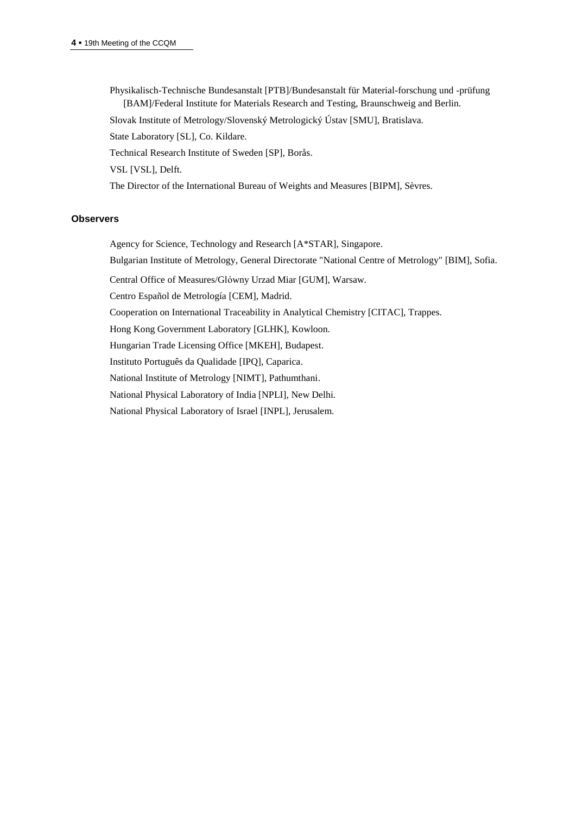Physikalisch-Technische Bundesanstalt [PTB]/Bundesanstalt für Material-forschung und -prüfung [BAM]/Federal Institute for Materials Research and Testing, Braunschweig and Berlin.

Slovak Institute of Metrology/Slovenský Metrologický Ústav [SMU], Bratislava.

State Laboratory [SL], Co. Kildare.

Technical Research Institute of Sweden [SP], Borås.

VSL [VSL], Delft.

The Director of the International Bureau of Weights and Measures [BIPM], Sèvres.

#### **Observers**

Agency for Science, Technology and Research [A\*STAR], Singapore.

Bulgarian Institute of Metrology, General Directorate "National Centre of Metrology" [BIM], Sofia.

Central Office of Measures/Glόwny Urzad Miar [GUM], Warsaw.

Centro Español de Metrología [CEM], Madrid.

Cooperation on International Traceability in Analytical Chemistry [CITAC], Trappes.

Hong Kong Government Laboratory [GLHK], Kowloon.

Hungarian Trade Licensing Office [MKEH], Budapest.

Instituto Português da Qualidade [IPQ], Caparica.

National Institute of Metrology [NIMT], Pathumthani.

National Physical Laboratory of India [NPLI], New Delhi.

National Physical Laboratory of Israel [INPL], Jerusalem.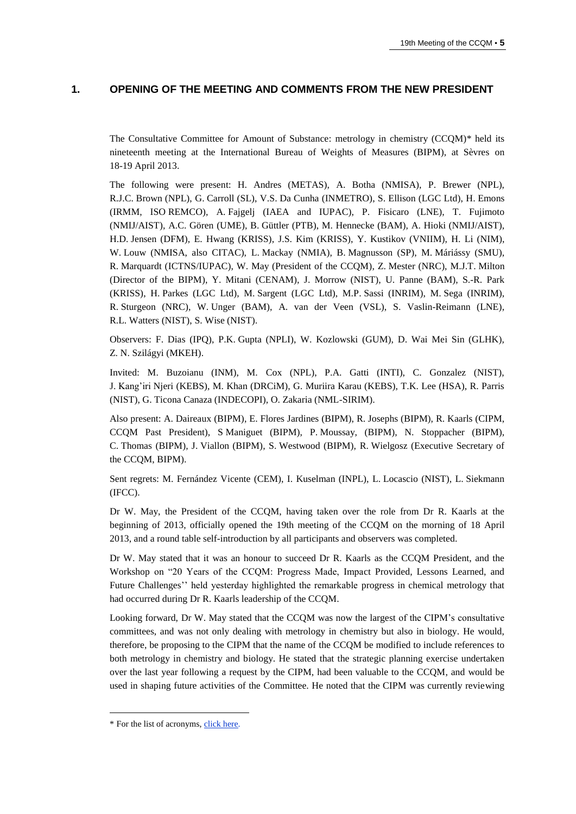# **1. OPENING OF THE MEETING AND COMMENTS FROM THE NEW PRESIDENT**

The Consultative Committee for Amount of Substance: metrology in chemistry (CCQM)\* held its nineteenth meeting at the International Bureau of Weights of Measures (BIPM), at Sèvres on 18-19 April 2013.

The following were present: H. Andres (METAS), A. Botha (NMISA), P. Brewer (NPL), R.J.C. Brown (NPL), G. Carroll (SL), V.S. Da Cunha (INMETRO), S. Ellison (LGC Ltd), H. Emons (IRMM, ISO REMCO), A. Fajgelj (IAEA and IUPAC), P. Fisicaro (LNE), T. Fujimoto (NMIJ/AIST), A.C. Gören (UME), B. Güttler (PTB), M. Hennecke (BAM), A. Hioki (NMIJ/AIST), H.D. Jensen (DFM), E. Hwang (KRISS), J.S. Kim (KRISS), Y. Kustikov (VNIIM), H. Li (NIM), W. Louw (NMISA, also CITAC), L. Mackay (NMIA), B. Magnusson (SP), M. Máriássy (SMU), R. Marquardt (ICTNS/IUPAC), W. May (President of the CCQM), Z. Mester (NRC), M.J.T. Milton (Director of the BIPM), Y. Mitani (CENAM), J. Morrow (NIST), U. Panne (BAM), S.-R. Park (KRISS), H. Parkes (LGC Ltd), M. Sargent (LGC Ltd), M.P. Sassi (INRIM), M. Sega (INRIM), R. Sturgeon (NRC), W. Unger (BAM), A. van der Veen (VSL), S. Vaslin-Reimann (LNE), R.L. Watters (NIST), S. Wise (NIST).

Observers: F. Dias (IPQ), P.K. Gupta (NPLI), W. Kozlowski (GUM), D. Wai Mei Sin (GLHK), Z. N. Szilágyi (MKEH).

Invited: M. Buzoianu (INM), M. Cox (NPL), P.A. Gatti (INTI), C. Gonzalez (NIST), J. Kang'iri Njeri (KEBS), M. Khan (DRCiM), G. Muriira Karau (KEBS), T.K. Lee (HSA), R. Parris (NIST), G. Ticona Canaza (INDECOPI), O. Zakaria (NML-SIRIM).

Also present: A. Daireaux (BIPM), E. Flores Jardines (BIPM), R. Josephs (BIPM), R. Kaarls (CIPM, CCQM Past President), S Maniguet (BIPM), P. Moussay, (BIPM), N. Stoppacher (BIPM), C. Thomas (BIPM), J. Viallon (BIPM), S. Westwood (BIPM), R. Wielgosz (Executive Secretary of the CCQM, BIPM).

Sent regrets: M. Fernández Vicente (CEM), I. Kuselman (INPL), L. Locascio (NIST), L. Siekmann (IFCC).

Dr W. May, the President of the CCQM, having taken over the role from Dr R. Kaarls at the beginning of 2013, officially opened the 19th meeting of the CCQM on the morning of 18 April 2013, and a round table self-introduction by all participants and observers was completed.

Dr W. May stated that it was an honour to succeed Dr R. Kaarls as the CCQM President, and the Workshop on "20 Years of the CCQM: Progress Made, Impact Provided, Lessons Learned, and Future Challenges'' held yesterday highlighted the remarkable progress in chemical metrology that had occurred during Dr R. Kaarls leadership of the CCQM.

Looking forward, Dr W. May stated that the CCQM was now the largest of the CIPM's consultative committees, and was not only dealing with metrology in chemistry but also in biology. He would, therefore, be proposing to the CIPM that the name of the CCQM be modified to include references to both metrology in chemistry and biology. He stated that the strategic planning exercise undertaken over the last year following a request by the CIPM, had been valuable to the CCQM, and would be used in shaping future activities of the Committee. He noted that the CIPM was currently reviewing

 $\overline{\phantom{a}}$ 

<sup>\*</sup> For the list of acronyms, [click here.](http://www.bipm.org/en/practical_info/acronyms.html)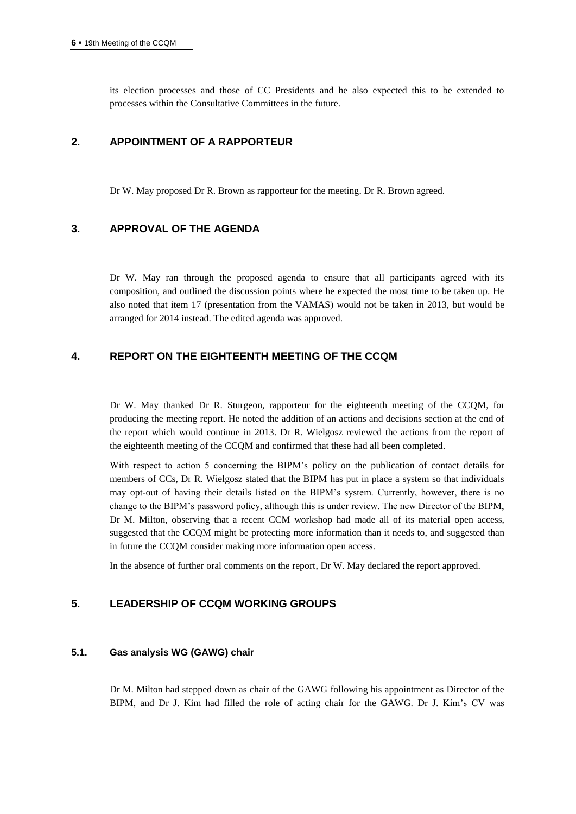its election processes and those of CC Presidents and he also expected this to be extended to processes within the Consultative Committees in the future.

## **2. APPOINTMENT OF A RAPPORTEUR**

Dr W. May proposed Dr R. Brown as rapporteur for the meeting. Dr R. Brown agreed.

# **3. APPROVAL OF THE AGENDA**

Dr W. May ran through the proposed agenda to ensure that all participants agreed with its composition, and outlined the discussion points where he expected the most time to be taken up. He also noted that item 17 (presentation from the VAMAS) would not be taken in 2013, but would be arranged for 2014 instead. The edited agenda was approved.

# **4. REPORT ON THE EIGHTEENTH MEETING OF THE CCQM**

Dr W. May thanked Dr R. Sturgeon, rapporteur for the eighteenth meeting of the CCQM, for producing the meeting report. He noted the addition of an actions and decisions section at the end of the report which would continue in 2013. Dr R. Wielgosz reviewed the actions from the report of the eighteenth meeting of the CCQM and confirmed that these had all been completed.

With respect to action 5 concerning the BIPM's policy on the publication of contact details for members of CCs, Dr R. Wielgosz stated that the BIPM has put in place a system so that individuals may opt-out of having their details listed on the BIPM's system. Currently, however, there is no change to the BIPM's password policy, although this is under review. The new Director of the BIPM, Dr M. Milton, observing that a recent CCM workshop had made all of its material open access, suggested that the CCQM might be protecting more information than it needs to, and suggested than in future the CCQM consider making more information open access.

In the absence of further oral comments on the report, Dr W. May declared the report approved.

## **5. LEADERSHIP OF CCQM WORKING GROUPS**

#### **5.1. Gas analysis WG (GAWG) chair**

Dr M. Milton had stepped down as chair of the GAWG following his appointment as Director of the BIPM, and Dr J. Kim had filled the role of acting chair for the GAWG. Dr J. Kim's CV was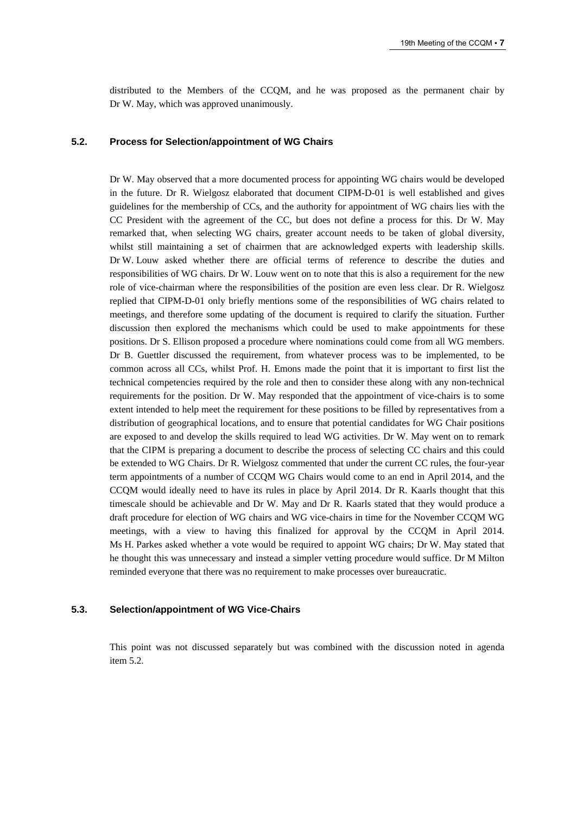distributed to the Members of the CCQM, and he was proposed as the permanent chair by Dr W. May, which was approved unanimously.

#### **5.2. Process for Selection/appointment of WG Chairs**

Dr W. May observed that a more documented process for appointing WG chairs would be developed in the future. Dr R. Wielgosz elaborated that document CIPM-D-01 is well established and gives guidelines for the membership of CCs, and the authority for appointment of WG chairs lies with the CC President with the agreement of the CC, but does not define a process for this. Dr W. May remarked that, when selecting WG chairs, greater account needs to be taken of global diversity, whilst still maintaining a set of chairmen that are acknowledged experts with leadership skills. Dr W. Louw asked whether there are official terms of reference to describe the duties and responsibilities of WG chairs. Dr W. Louw went on to note that this is also a requirement for the new role of vice-chairman where the responsibilities of the position are even less clear. Dr R. Wielgosz replied that CIPM-D-01 only briefly mentions some of the responsibilities of WG chairs related to meetings, and therefore some updating of the document is required to clarify the situation. Further discussion then explored the mechanisms which could be used to make appointments for these positions. Dr S. Ellison proposed a procedure where nominations could come from all WG members. Dr B. Guettler discussed the requirement, from whatever process was to be implemented, to be common across all CCs, whilst Prof. H. Emons made the point that it is important to first list the technical competencies required by the role and then to consider these along with any non-technical requirements for the position. Dr W. May responded that the appointment of vice-chairs is to some extent intended to help meet the requirement for these positions to be filled by representatives from a distribution of geographical locations, and to ensure that potential candidates for WG Chair positions are exposed to and develop the skills required to lead WG activities. Dr W. May went on to remark that the CIPM is preparing a document to describe the process of selecting CC chairs and this could be extended to WG Chairs. Dr R. Wielgosz commented that under the current CC rules, the four-year term appointments of a number of CCQM WG Chairs would come to an end in April 2014, and the CCQM would ideally need to have its rules in place by April 2014. Dr R. Kaarls thought that this timescale should be achievable and Dr W. May and Dr R. Kaarls stated that they would produce a draft procedure for election of WG chairs and WG vice-chairs in time for the November CCQM WG meetings, with a view to having this finalized for approval by the CCQM in April 2014. Ms H. Parkes asked whether a vote would be required to appoint WG chairs; Dr W. May stated that he thought this was unnecessary and instead a simpler vetting procedure would suffice. Dr M Milton reminded everyone that there was no requirement to make processes over bureaucratic.

#### **5.3. Selection/appointment of WG Vice-Chairs**

This point was not discussed separately but was combined with the discussion noted in agenda item 5.2.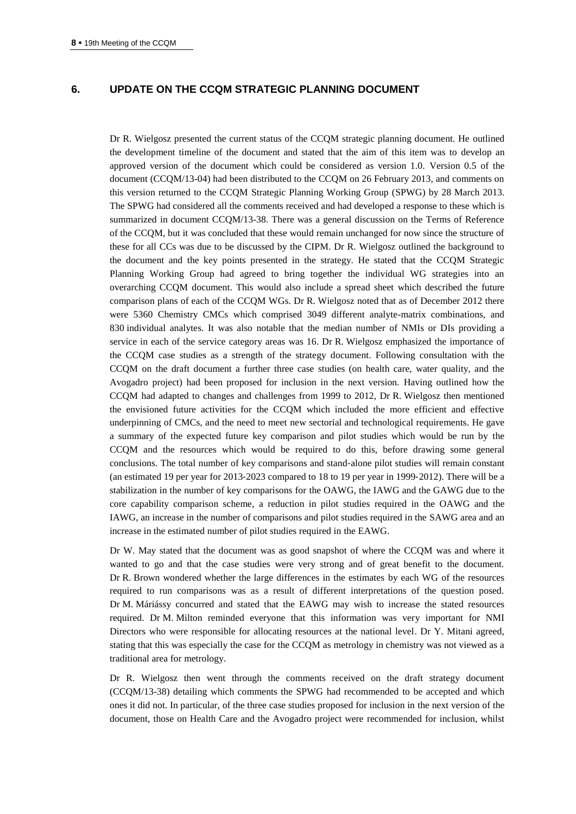## **6. UPDATE ON THE CCQM STRATEGIC PLANNING DOCUMENT**

Dr R. Wielgosz presented the current status of the CCQM strategic planning document. He outlined the development timeline of the document and stated that the aim of this item was to develop an approved version of the document which could be considered as version 1.0. Version 0.5 of the document (CCQM/13-04) had been distributed to the CCQM on 26 February 2013, and comments on this version returned to the CCQM Strategic Planning Working Group (SPWG) by 28 March 2013. The SPWG had considered all the comments received and had developed a response to these which is summarized in document CCQM/13-38. There was a general discussion on the Terms of Reference of the CCQM, but it was concluded that these would remain unchanged for now since the structure of these for all CCs was due to be discussed by the CIPM. Dr R. Wielgosz outlined the background to the document and the key points presented in the strategy. He stated that the CCQM Strategic Planning Working Group had agreed to bring together the individual WG strategies into an overarching CCQM document. This would also include a spread sheet which described the future comparison plans of each of the CCQM WGs. Dr R. Wielgosz noted that as of December 2012 there were 5360 Chemistry CMCs which comprised 3049 different analyte-matrix combinations, and 830 individual analytes. It was also notable that the median number of NMIs or DIs providing a service in each of the service category areas was 16. Dr R. Wielgosz emphasized the importance of the CCQM case studies as a strength of the strategy document. Following consultation with the CCQM on the draft document a further three case studies (on health care, water quality, and the Avogadro project) had been proposed for inclusion in the next version. Having outlined how the CCQM had adapted to changes and challenges from 1999 to 2012, Dr R. Wielgosz then mentioned the envisioned future activities for the CCQM which included the more efficient and effective underpinning of CMCs, and the need to meet new sectorial and technological requirements. He gave a summary of the expected future key comparison and pilot studies which would be run by the CCQM and the resources which would be required to do this, before drawing some general conclusions. The total number of key comparisons and stand‐alone pilot studies will remain constant (an estimated 19 per year for 2013‐2023 compared to 18 to 19 per year in 1999‐2012). There will be a stabilization in the number of key comparisons for the OAWG, the IAWG and the GAWG due to the core capability comparison scheme, a reduction in pilot studies required in the OAWG and the IAWG, an increase in the number of comparisons and pilot studies required in the SAWG area and an increase in the estimated number of pilot studies required in the EAWG.

Dr W. May stated that the document was as good snapshot of where the CCQM was and where it wanted to go and that the case studies were very strong and of great benefit to the document. Dr R. Brown wondered whether the large differences in the estimates by each WG of the resources required to run comparisons was as a result of different interpretations of the question posed. Dr M. Máriássy concurred and stated that the EAWG may wish to increase the stated resources required. Dr M. Milton reminded everyone that this information was very important for NMI Directors who were responsible for allocating resources at the national level. Dr Y. Mitani agreed, stating that this was especially the case for the CCQM as metrology in chemistry was not viewed as a traditional area for metrology.

Dr R. Wielgosz then went through the comments received on the draft strategy document (CCQM/13-38) detailing which comments the SPWG had recommended to be accepted and which ones it did not. In particular, of the three case studies proposed for inclusion in the next version of the document, those on Health Care and the Avogadro project were recommended for inclusion, whilst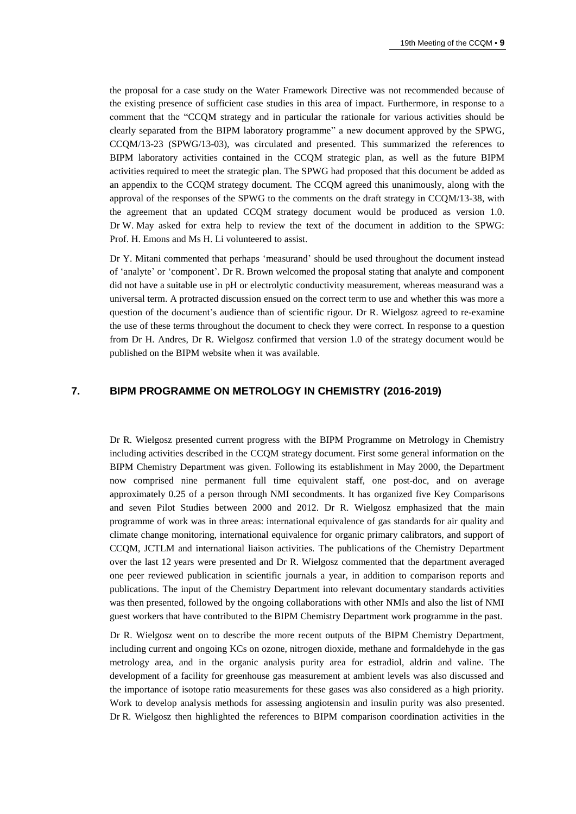the proposal for a case study on the Water Framework Directive was not recommended because of the existing presence of sufficient case studies in this area of impact. Furthermore, in response to a comment that the "CCQM strategy and in particular the rationale for various activities should be clearly separated from the BIPM laboratory programme" a new document approved by the SPWG, CCQM/13-23 (SPWG/13-03), was circulated and presented. This summarized the references to BIPM laboratory activities contained in the CCQM strategic plan, as well as the future BIPM activities required to meet the strategic plan. The SPWG had proposed that this document be added as an appendix to the CCQM strategy document. The CCQM agreed this unanimously, along with the approval of the responses of the SPWG to the comments on the draft strategy in CCQM/13-38, with the agreement that an updated CCQM strategy document would be produced as version 1.0. Dr W. May asked for extra help to review the text of the document in addition to the SPWG: Prof. H. Emons and Ms H. Li volunteered to assist.

Dr Y. Mitani commented that perhaps 'measurand' should be used throughout the document instead of 'analyte' or 'component'. Dr R. Brown welcomed the proposal stating that analyte and component did not have a suitable use in pH or electrolytic conductivity measurement, whereas measurand was a universal term. A protracted discussion ensued on the correct term to use and whether this was more a question of the document's audience than of scientific rigour. Dr R. Wielgosz agreed to re-examine the use of these terms throughout the document to check they were correct. In response to a question from Dr H. Andres, Dr R. Wielgosz confirmed that version 1.0 of the strategy document would be published on the BIPM website when it was available.

## **7. BIPM PROGRAMME ON METROLOGY IN CHEMISTRY (2016-2019)**

Dr R. Wielgosz presented current progress with the BIPM Programme on Metrology in Chemistry including activities described in the CCQM strategy document. First some general information on the BIPM Chemistry Department was given. Following its establishment in May 2000, the Department now comprised nine permanent full time equivalent staff, one post-doc, and on average approximately 0.25 of a person through NMI secondments. It has organized five Key Comparisons and seven Pilot Studies between 2000 and 2012. Dr R. Wielgosz emphasized that the main programme of work was in three areas: international equivalence of gas standards for air quality and climate change monitoring, international equivalence for organic primary calibrators, and support of CCQM, JCTLM and international liaison activities. The publications of the Chemistry Department over the last 12 years were presented and Dr R. Wielgosz commented that the department averaged one peer reviewed publication in scientific journals a year, in addition to comparison reports and publications. The input of the Chemistry Department into relevant documentary standards activities was then presented, followed by the ongoing collaborations with other NMIs and also the list of NMI guest workers that have contributed to the BIPM Chemistry Department work programme in the past.

Dr R. Wielgosz went on to describe the more recent outputs of the BIPM Chemistry Department, including current and ongoing KCs on ozone, nitrogen dioxide, methane and formaldehyde in the gas metrology area, and in the organic analysis purity area for estradiol, aldrin and valine. The development of a facility for greenhouse gas measurement at ambient levels was also discussed and the importance of isotope ratio measurements for these gases was also considered as a high priority. Work to develop analysis methods for assessing angiotensin and insulin purity was also presented. Dr R. Wielgosz then highlighted the references to BIPM comparison coordination activities in the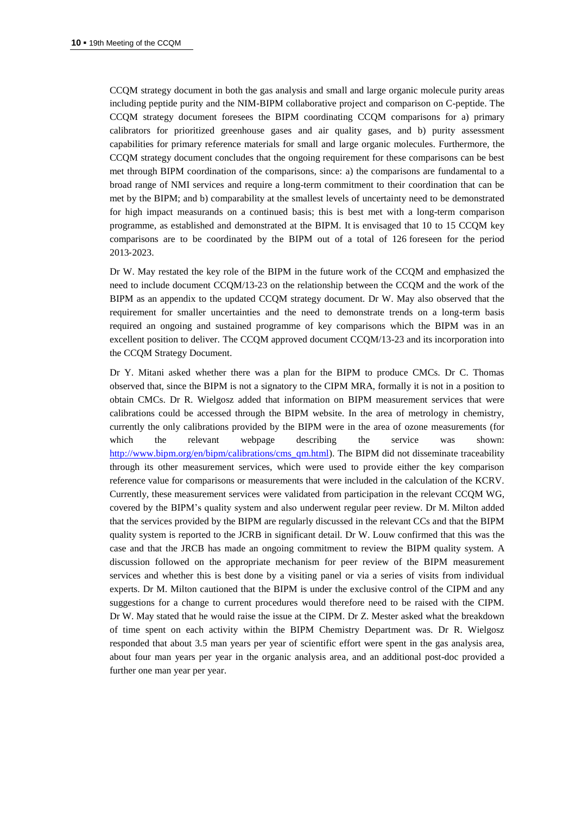CCQM strategy document in both the gas analysis and small and large organic molecule purity areas including peptide purity and the NIM-BIPM collaborative project and comparison on C-peptide. The CCQM strategy document foresees the BIPM coordinating CCQM comparisons for a) primary calibrators for prioritized greenhouse gases and air quality gases, and b) purity assessment capabilities for primary reference materials for small and large organic molecules. Furthermore, the CCQM strategy document concludes that the ongoing requirement for these comparisons can be best met through BIPM coordination of the comparisons, since: a) the comparisons are fundamental to a broad range of NMI services and require a long-term commitment to their coordination that can be met by the BIPM; and b) comparability at the smallest levels of uncertainty need to be demonstrated for high impact measurands on a continued basis; this is best met with a long-term comparison programme, as established and demonstrated at the BIPM. It is envisaged that 10 to 15 CCQM key comparisons are to be coordinated by the BIPM out of a total of 126 foreseen for the period 2013‐2023.

Dr W. May restated the key role of the BIPM in the future work of the CCQM and emphasized the need to include document CCQM/13-23 on the relationship between the CCQM and the work of the BIPM as an appendix to the updated CCQM strategy document. Dr W. May also observed that the requirement for smaller uncertainties and the need to demonstrate trends on a long-term basis required an ongoing and sustained programme of key comparisons which the BIPM was in an excellent position to deliver. The CCQM approved document CCQM/13-23 and its incorporation into the CCQM Strategy Document.

Dr Y. Mitani asked whether there was a plan for the BIPM to produce CMCs. Dr C. Thomas observed that, since the BIPM is not a signatory to the CIPM MRA, formally it is not in a position to obtain CMCs. Dr R. Wielgosz added that information on BIPM measurement services that were calibrations could be accessed through the BIPM website. In the area of metrology in chemistry, currently the only calibrations provided by the BIPM were in the area of ozone measurements (for which the relevant webpage describing the service was shown: [http://www.bipm.org/en/bipm/calibrations/cms\\_qm.html\)](http://www.bipm.org/en/bipm/calibrations/cms_qm.html). The BIPM did not disseminate traceability through its other measurement services, which were used to provide either the key comparison reference value for comparisons or measurements that were included in the calculation of the KCRV. Currently, these measurement services were validated from participation in the relevant CCQM WG, covered by the BIPM's quality system and also underwent regular peer review. Dr M. Milton added that the services provided by the BIPM are regularly discussed in the relevant CCs and that the BIPM quality system is reported to the JCRB in significant detail. Dr W. Louw confirmed that this was the case and that the JRCB has made an ongoing commitment to review the BIPM quality system. A discussion followed on the appropriate mechanism for peer review of the BIPM measurement services and whether this is best done by a visiting panel or via a series of visits from individual experts. Dr M. Milton cautioned that the BIPM is under the exclusive control of the CIPM and any suggestions for a change to current procedures would therefore need to be raised with the CIPM. Dr W. May stated that he would raise the issue at the CIPM. Dr Z. Mester asked what the breakdown of time spent on each activity within the BIPM Chemistry Department was. Dr R. Wielgosz responded that about 3.5 man years per year of scientific effort were spent in the gas analysis area, about four man years per year in the organic analysis area, and an additional post-doc provided a further one man year per year.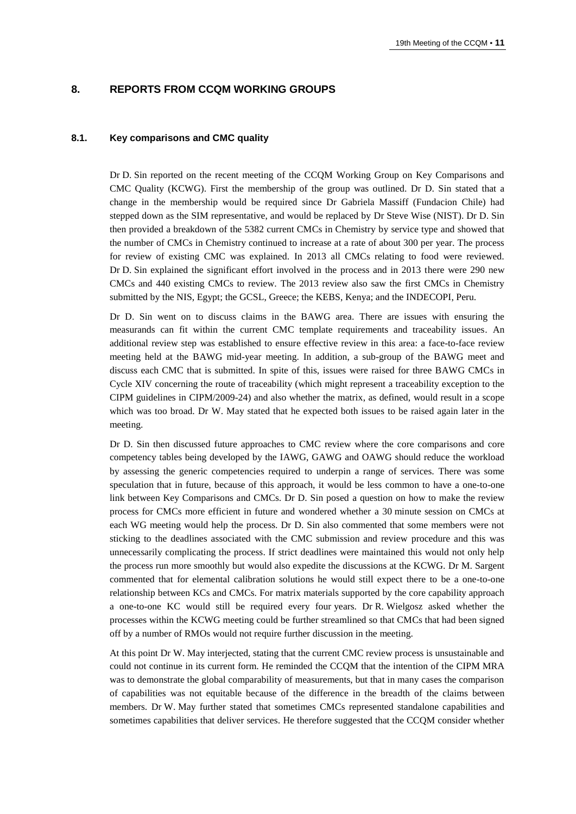## **8. REPORTS FROM CCQM WORKING GROUPS**

#### **8.1. Key comparisons and CMC quality**

Dr D. Sin reported on the recent meeting of the CCQM Working Group on Key Comparisons and CMC Quality (KCWG). First the membership of the group was outlined. Dr D. Sin stated that a change in the membership would be required since Dr Gabriela Massiff (Fundacion Chile) had stepped down as the SIM representative, and would be replaced by Dr Steve Wise (NIST). Dr D. Sin then provided a breakdown of the 5382 current CMCs in Chemistry by service type and showed that the number of CMCs in Chemistry continued to increase at a rate of about 300 per year. The process for review of existing CMC was explained. In 2013 all CMCs relating to food were reviewed. Dr D. Sin explained the significant effort involved in the process and in 2013 there were 290 new CMCs and 440 existing CMCs to review. The 2013 review also saw the first CMCs in Chemistry submitted by the NIS, Egypt; the GCSL, Greece; the KEBS, Kenya; and the INDECOPI, Peru.

Dr D. Sin went on to discuss claims in the BAWG area. There are issues with ensuring the measurands can fit within the current CMC template requirements and traceability issues. An additional review step was established to ensure effective review in this area: a face-to-face review meeting held at the BAWG mid-year meeting. In addition, a sub-group of the BAWG meet and discuss each CMC that is submitted. In spite of this, issues were raised for three BAWG CMCs in Cycle XIV concerning the route of traceability (which might represent a traceability exception to the CIPM guidelines in CIPM/2009-24) and also whether the matrix, as defined, would result in a scope which was too broad. Dr W. May stated that he expected both issues to be raised again later in the meeting.

Dr D. Sin then discussed future approaches to CMC review where the core comparisons and core competency tables being developed by the IAWG, GAWG and OAWG should reduce the workload by assessing the generic competencies required to underpin a range of services. There was some speculation that in future, because of this approach, it would be less common to have a one-to-one link between Key Comparisons and CMCs. Dr D. Sin posed a question on how to make the review process for CMCs more efficient in future and wondered whether a 30 minute session on CMCs at each WG meeting would help the process. Dr D. Sin also commented that some members were not sticking to the deadlines associated with the CMC submission and review procedure and this was unnecessarily complicating the process. If strict deadlines were maintained this would not only help the process run more smoothly but would also expedite the discussions at the KCWG. Dr M. Sargent commented that for elemental calibration solutions he would still expect there to be a one-to-one relationship between KCs and CMCs. For matrix materials supported by the core capability approach a one-to-one KC would still be required every four years. Dr R. Wielgosz asked whether the processes within the KCWG meeting could be further streamlined so that CMCs that had been signed off by a number of RMOs would not require further discussion in the meeting.

At this point Dr W. May interjected, stating that the current CMC review process is unsustainable and could not continue in its current form. He reminded the CCQM that the intention of the CIPM MRA was to demonstrate the global comparability of measurements, but that in many cases the comparison of capabilities was not equitable because of the difference in the breadth of the claims between members. Dr W. May further stated that sometimes CMCs represented standalone capabilities and sometimes capabilities that deliver services. He therefore suggested that the CCQM consider whether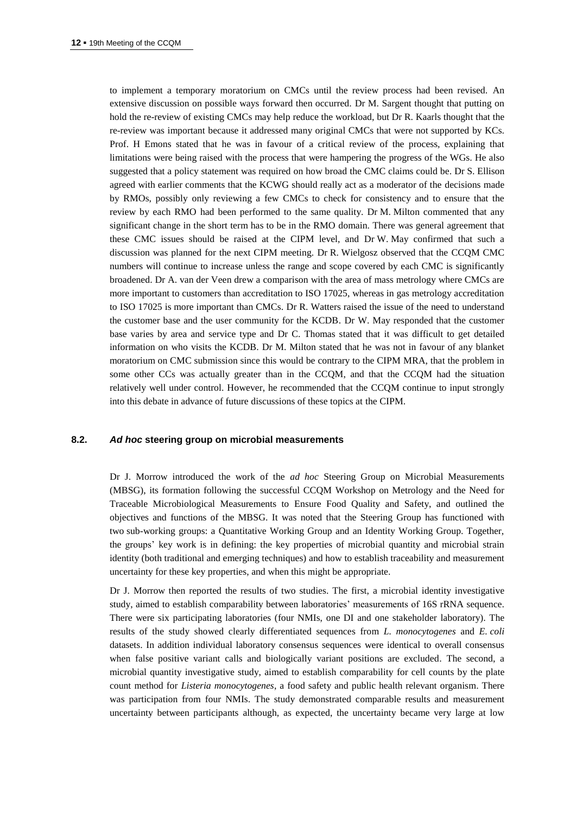to implement a temporary moratorium on CMCs until the review process had been revised. An extensive discussion on possible ways forward then occurred. Dr M. Sargent thought that putting on hold the re-review of existing CMCs may help reduce the workload, but Dr R. Kaarls thought that the re-review was important because it addressed many original CMCs that were not supported by KCs. Prof. H Emons stated that he was in favour of a critical review of the process, explaining that limitations were being raised with the process that were hampering the progress of the WGs. He also suggested that a policy statement was required on how broad the CMC claims could be. Dr S. Ellison agreed with earlier comments that the KCWG should really act as a moderator of the decisions made by RMOs, possibly only reviewing a few CMCs to check for consistency and to ensure that the review by each RMO had been performed to the same quality. Dr M. Milton commented that any significant change in the short term has to be in the RMO domain. There was general agreement that these CMC issues should be raised at the CIPM level, and Dr W. May confirmed that such a discussion was planned for the next CIPM meeting. Dr R. Wielgosz observed that the CCQM CMC numbers will continue to increase unless the range and scope covered by each CMC is significantly broadened. Dr A. van der Veen drew a comparison with the area of mass metrology where CMCs are more important to customers than accreditation to ISO 17025, whereas in gas metrology accreditation to ISO 17025 is more important than CMCs. Dr R. Watters raised the issue of the need to understand the customer base and the user community for the KCDB. Dr W. May responded that the customer base varies by area and service type and Dr C. Thomas stated that it was difficult to get detailed information on who visits the KCDB. Dr M. Milton stated that he was not in favour of any blanket moratorium on CMC submission since this would be contrary to the CIPM MRA, that the problem in some other CCs was actually greater than in the CCQM, and that the CCQM had the situation relatively well under control. However, he recommended that the CCQM continue to input strongly into this debate in advance of future discussions of these topics at the CIPM.

#### **8.2.** *Ad hoc* **steering group on microbial measurements**

Dr J. Morrow introduced the work of the *ad hoc* Steering Group on Microbial Measurements (MBSG), its formation following the successful CCQM Workshop on Metrology and the Need for Traceable Microbiological Measurements to Ensure Food Quality and Safety, and outlined the objectives and functions of the MBSG. It was noted that the Steering Group has functioned with two sub-working groups: a Quantitative Working Group and an Identity Working Group. Together, the groups' key work is in defining: the key properties of microbial quantity and microbial strain identity (both traditional and emerging techniques) and how to establish traceability and measurement uncertainty for these key properties, and when this might be appropriate.

Dr J. Morrow then reported the results of two studies. The first, a microbial identity investigative study, aimed to establish comparability between laboratories' measurements of 16S rRNA sequence. There were six participating laboratories (four NMIs, one DI and one stakeholder laboratory). The results of the study showed clearly differentiated sequences from *L. monocytogenes* and *E. coli* datasets. In addition individual laboratory consensus sequences were identical to overall consensus when false positive variant calls and biologically variant positions are excluded. The second, a microbial quantity investigative study, aimed to establish comparability for cell counts by the plate count method for *Listeria monocytogenes*, a food safety and public health relevant organism. There was participation from four NMIs. The study demonstrated comparable results and measurement uncertainty between participants although, as expected, the uncertainty became very large at low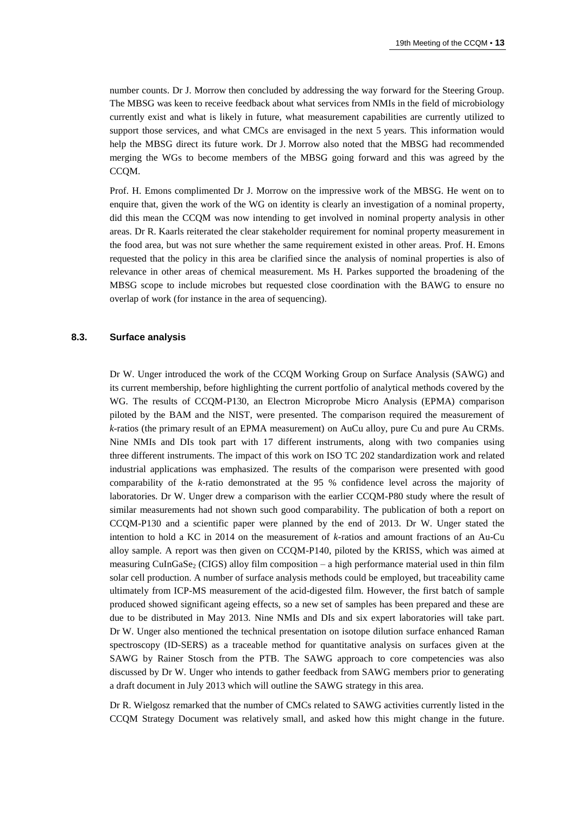number counts. Dr J. Morrow then concluded by addressing the way forward for the Steering Group. The MBSG was keen to receive feedback about what services from NMIs in the field of microbiology currently exist and what is likely in future, what measurement capabilities are currently utilized to support those services, and what CMCs are envisaged in the next 5 years. This information would help the MBSG direct its future work. Dr J. Morrow also noted that the MBSG had recommended merging the WGs to become members of the MBSG going forward and this was agreed by the CCQM.

Prof. H. Emons complimented Dr J. Morrow on the impressive work of the MBSG. He went on to enquire that, given the work of the WG on identity is clearly an investigation of a nominal property, did this mean the CCQM was now intending to get involved in nominal property analysis in other areas. Dr R. Kaarls reiterated the clear stakeholder requirement for nominal property measurement in the food area, but was not sure whether the same requirement existed in other areas. Prof. H. Emons requested that the policy in this area be clarified since the analysis of nominal properties is also of relevance in other areas of chemical measurement. Ms H. Parkes supported the broadening of the MBSG scope to include microbes but requested close coordination with the BAWG to ensure no overlap of work (for instance in the area of sequencing).

## **8.3. Surface analysis**

Dr W. Unger introduced the work of the CCQM Working Group on Surface Analysis (SAWG) and its current membership, before highlighting the current portfolio of analytical methods covered by the WG. The results of CCQM-P130, an Electron Microprobe Micro Analysis (EPMA) comparison piloted by the BAM and the NIST, were presented. The comparison required the measurement of *k*-ratios (the primary result of an EPMA measurement) on AuCu alloy, pure Cu and pure Au CRMs. Nine NMIs and DIs took part with 17 different instruments, along with two companies using three different instruments. The impact of this work on ISO TC 202 standardization work and related industrial applications was emphasized. The results of the comparison were presented with good comparability of the *k*-ratio demonstrated at the 95 % confidence level across the majority of laboratories. Dr W. Unger drew a comparison with the earlier CCQM-P80 study where the result of similar measurements had not shown such good comparability. The publication of both a report on CCQM-P130 and a scientific paper were planned by the end of 2013. Dr W. Unger stated the intention to hold a KC in 2014 on the measurement of *k*-ratios and amount fractions of an Au-Cu alloy sample. A report was then given on CCQM-P140, piloted by the KRISS, which was aimed at measuring CuInGaSe<sub>2</sub> (CIGS) alloy film composition – a high performance material used in thin film solar cell production. A number of surface analysis methods could be employed, but traceability came ultimately from ICP-MS measurement of the acid-digested film. However, the first batch of sample produced showed significant ageing effects, so a new set of samples has been prepared and these are due to be distributed in May 2013. Nine NMIs and DIs and six expert laboratories will take part. Dr W. Unger also mentioned the technical presentation on isotope dilution surface enhanced Raman spectroscopy (ID-SERS) as a traceable method for quantitative analysis on surfaces given at the SAWG by Rainer Stosch from the PTB. The SAWG approach to core competencies was also discussed by Dr W. Unger who intends to gather feedback from SAWG members prior to generating a draft document in July 2013 which will outline the SAWG strategy in this area.

Dr R. Wielgosz remarked that the number of CMCs related to SAWG activities currently listed in the CCQM Strategy Document was relatively small, and asked how this might change in the future.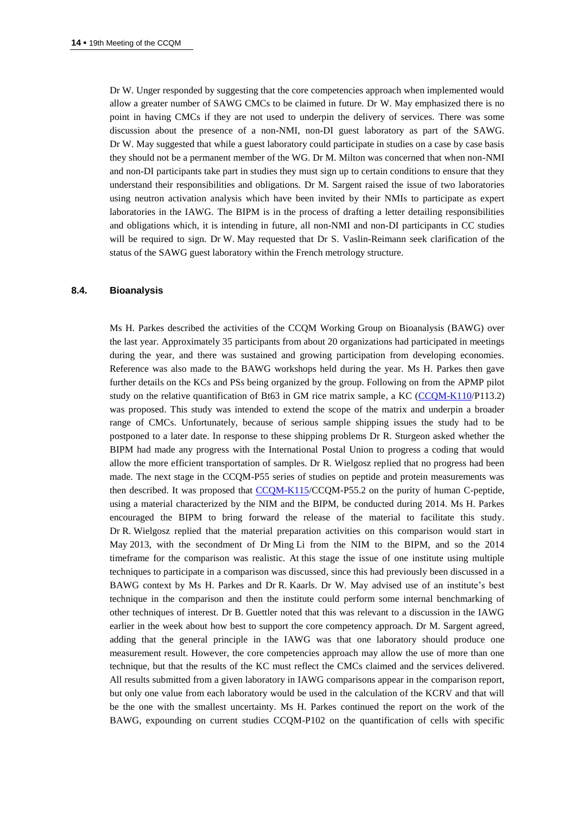Dr W. Unger responded by suggesting that the core competencies approach when implemented would allow a greater number of SAWG CMCs to be claimed in future. Dr W. May emphasized there is no point in having CMCs if they are not used to underpin the delivery of services. There was some discussion about the presence of a non-NMI, non-DI guest laboratory as part of the SAWG. Dr W. May suggested that while a guest laboratory could participate in studies on a case by case basis they should not be a permanent member of the WG. Dr M. Milton was concerned that when non-NMI and non-DI participants take part in studies they must sign up to certain conditions to ensure that they understand their responsibilities and obligations. Dr M. Sargent raised the issue of two laboratories using neutron activation analysis which have been invited by their NMIs to participate as expert laboratories in the IAWG. The BIPM is in the process of drafting a letter detailing responsibilities and obligations which, it is intending in future, all non-NMI and non-DI participants in CC studies will be required to sign. Dr W. May requested that Dr S. Vaslin-Reimann seek clarification of the status of the SAWG guest laboratory within the French metrology structure.

#### **8.4. Bioanalysis**

Ms H. Parkes described the activities of the CCQM Working Group on Bioanalysis (BAWG) over the last year. Approximately 35 participants from about 20 organizations had participated in meetings during the year, and there was sustained and growing participation from developing economies. Reference was also made to the BAWG workshops held during the year. Ms H. Parkes then gave further details on the KCs and PSs being organized by the group. Following on from the APMP pilot study on the relative quantification of Bt63 in GM rice matrix sample, a KC [\(CCQM-K110/](http://kcdb.bipm.org/appendixB/KCDB_ApB_info.asp?cmp_idy=1256&cmp_cod=CCQM-K110&prov=exalead)P113.2) was proposed. This study was intended to extend the scope of the matrix and underpin a broader range of CMCs. Unfortunately, because of serious sample shipping issues the study had to be postponed to a later date. In response to these shipping problems Dr R. Sturgeon asked whether the BIPM had made any progress with the International Postal Union to progress a coding that would allow the more efficient transportation of samples. Dr R. Wielgosz replied that no progress had been made. The next stage in the CCQM-P55 series of studies on peptide and protein measurements was then described. It was proposed that [CCQM-K115/](http://kcdb.bipm.org/appendixB/KCDB_ApB_info.asp?cmp_idy=1339&cmp_cod=CCQM-K115&prov=exalead)CCQM-P55.2 on the purity of human C-peptide, using a material characterized by the NIM and the BIPM, be conducted during 2014. Ms H. Parkes encouraged the BIPM to bring forward the release of the material to facilitate this study. Dr R. Wielgosz replied that the material preparation activities on this comparison would start in May 2013, with the secondment of Dr Ming Li from the NIM to the BIPM, and so the 2014 timeframe for the comparison was realistic. At this stage the issue of one institute using multiple techniques to participate in a comparison was discussed, since this had previously been discussed in a BAWG context by Ms H. Parkes and Dr R. Kaarls. Dr W. May advised use of an institute's best technique in the comparison and then the institute could perform some internal benchmarking of other techniques of interest. Dr B. Guettler noted that this was relevant to a discussion in the IAWG earlier in the week about how best to support the core competency approach. Dr M. Sargent agreed, adding that the general principle in the IAWG was that one laboratory should produce one measurement result. However, the core competencies approach may allow the use of more than one technique, but that the results of the KC must reflect the CMCs claimed and the services delivered. All results submitted from a given laboratory in IAWG comparisons appear in the comparison report, but only one value from each laboratory would be used in the calculation of the KCRV and that will be the one with the smallest uncertainty. Ms H. Parkes continued the report on the work of the BAWG, expounding on current studies CCQM-P102 on the quantification of cells with specific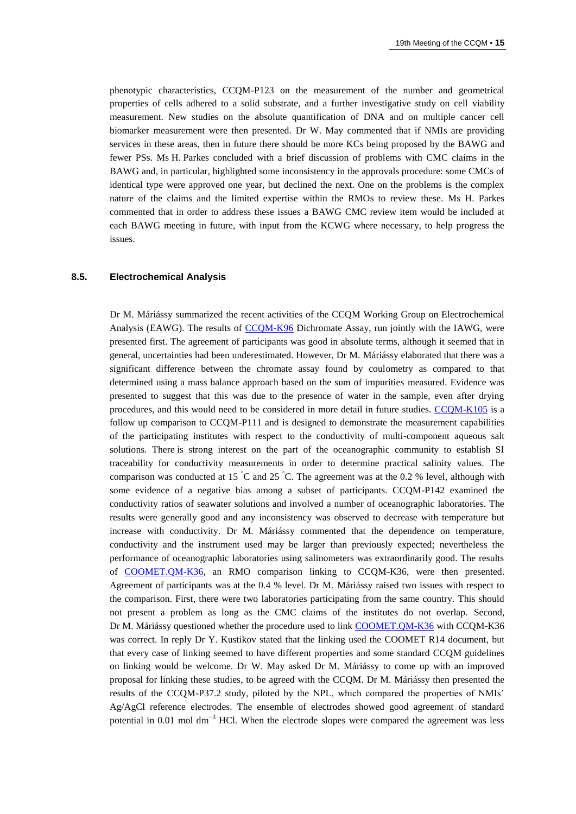phenotypic characteristics, CCQM-P123 on the measurement of the number and geometrical properties of cells adhered to a solid substrate, and a further investigative study on cell viability measurement. New studies on the absolute quantification of DNA and on multiple cancer cell biomarker measurement were then presented. Dr W. May commented that if NMIs are providing services in these areas, then in future there should be more KCs being proposed by the BAWG and fewer PSs. Ms H. Parkes concluded with a brief discussion of problems with CMC claims in the BAWG and, in particular, highlighted some inconsistency in the approvals procedure: some CMCs of identical type were approved one year, but declined the next. One on the problems is the complex nature of the claims and the limited expertise within the RMOs to review these. Ms H. Parkes commented that in order to address these issues a BAWG CMC review item would be included at each BAWG meeting in future, with input from the KCWG where necessary, to help progress the issues.

#### **8.5. Electrochemical Analysis**

Dr M. Máriássy summarized the recent activities of the CCQM Working Group on Electrochemical Analysis (EAWG). The results of [CCQM-K96](http://kcdb.bipm.org/appendixB/KCDB_ApB_info.asp?cmp_idy=1148&cmp_cod=CCQM-K96&prov=exalead) Dichromate Assay, run jointly with the IAWG, were presented first. The agreement of participants was good in absolute terms, although it seemed that in general, uncertainties had been underestimated. However, Dr M. Máriássy elaborated that there was a significant difference between the chromate assay found by coulometry as compared to that determined using a mass balance approach based on the sum of impurities measured. Evidence was presented to suggest that this was due to the presence of water in the sample, even after drying procedures, and this would need to be considered in more detail in future studies. [CCQM-K105](http://kcdb.bipm.org/appendixB/KCDB_ApB_info.asp?cmp_idy=1222&cmp_cod=CCQM-K105&prov=exalead) is a follow up comparison to CCQM-P111 and is designed to demonstrate the measurement capabilities of the participating institutes with respect to the conductivity of multi-component aqueous salt solutions. There is strong interest on the part of the oceanographic community to establish SI traceability for conductivity measurements in order to determine practical salinity values. The comparison was conducted at 15  $\degree$ C and 25  $\degree$ C. The agreement was at the 0.2 % level, although with some evidence of a negative bias among a subset of participants. CCQM-P142 examined the conductivity ratios of seawater solutions and involved a number of oceanographic laboratories. The results were generally good and any inconsistency was observed to decrease with temperature but increase with conductivity. Dr M. Máriássy commented that the dependence on temperature, conductivity and the instrument used may be larger than previously expected; nevertheless the performance of oceanographic laboratories using salinometers was extraordinarily good. The results of [COOMET.QM-K36,](http://kcdb.bipm.org/appendixB/KCDB_ApB_info.asp?cmp_idy=1144&cmp_cod=COOMET.QM-K36&prov=exalead) an RMO comparison linking to CCQM-K36, were then presented. Agreement of participants was at the 0.4 % level. Dr M. Máriássy raised two issues with respect to the comparison. First, there were two laboratories participating from the same country. This should not present a problem as long as the CMC claims of the institutes do not overlap. Second, Dr M. Máriássy questioned whether the procedure used to link [COOMET.QM-K36](http://kcdb.bipm.org/appendixB/KCDB_ApB_info.asp?cmp_idy=1144&cmp_cod=COOMET.QM-K36&prov=exalead) with CCQM-K36 was correct. In reply Dr Y. Kustikov stated that the linking used the COOMET R14 document, but that every case of linking seemed to have different properties and some standard CCQM guidelines on linking would be welcome. Dr W. May asked Dr M. Máriássy to come up with an improved proposal for linking these studies, to be agreed with the CCQM. Dr M. Máriássy then presented the results of the CCQM-P37.2 study, piloted by the NPL, which compared the properties of NMIs' Ag/AgCl reference electrodes. The ensemble of electrodes showed good agreement of standard potential in 0.01 mol dm<sup>-3</sup> HCl. When the electrode slopes were compared the agreement was less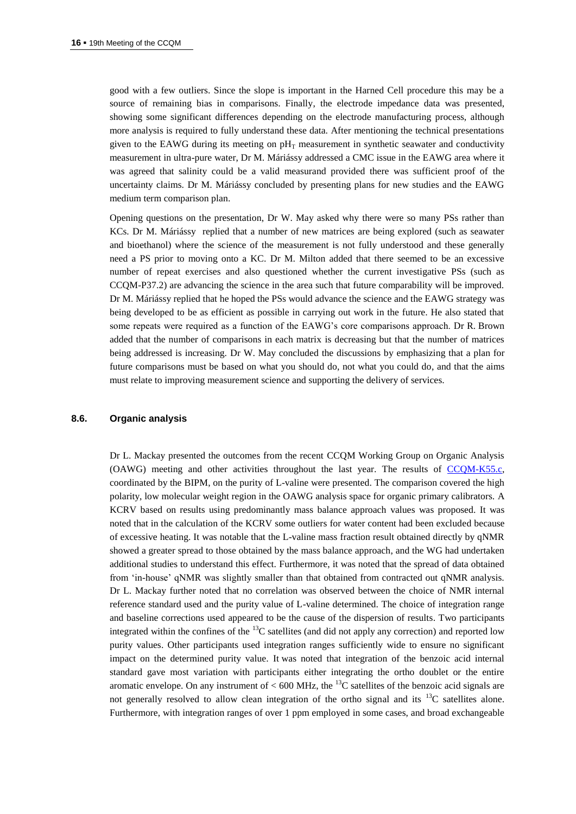good with a few outliers. Since the slope is important in the Harned Cell procedure this may be a source of remaining bias in comparisons. Finally, the electrode impedance data was presented, showing some significant differences depending on the electrode manufacturing process, although more analysis is required to fully understand these data. After mentioning the technical presentations given to the EAWG during its meeting on  $pH<sub>T</sub>$  measurement in synthetic seawater and conductivity measurement in ultra-pure water, Dr M. Máriássy addressed a CMC issue in the EAWG area where it was agreed that salinity could be a valid measurand provided there was sufficient proof of the uncertainty claims. Dr M. Máriássy concluded by presenting plans for new studies and the EAWG medium term comparison plan.

Opening questions on the presentation, Dr W. May asked why there were so many PSs rather than KCs. Dr M. Máriássy replied that a number of new matrices are being explored (such as seawater and bioethanol) where the science of the measurement is not fully understood and these generally need a PS prior to moving onto a KC. Dr M. Milton added that there seemed to be an excessive number of repeat exercises and also questioned whether the current investigative PSs (such as CCQM-P37.2) are advancing the science in the area such that future comparability will be improved. Dr M. Máriássy replied that he hoped the PSs would advance the science and the EAWG strategy was being developed to be as efficient as possible in carrying out work in the future. He also stated that some repeats were required as a function of the EAWG's core comparisons approach. Dr R. Brown added that the number of comparisons in each matrix is decreasing but that the number of matrices being addressed is increasing. Dr W. May concluded the discussions by emphasizing that a plan for future comparisons must be based on what you should do, not what you could do, and that the aims must relate to improving measurement science and supporting the delivery of services.

#### **8.6. Organic analysis**

Dr L. Mackay presented the outcomes from the recent CCQM Working Group on Organic Analysis (OAWG) meeting and other activities throughout the last year. The results of [CCQM-K55.c,](http://kcdb.bipm.org/appendixB/KCDB_ApB_info.asp?cmp_idy=1072&cmp_cod=CCQM-K55.c&prov=exalead) coordinated by the BIPM, on the purity of L-valine were presented. The comparison covered the high polarity, low molecular weight region in the OAWG analysis space for organic primary calibrators. A KCRV based on results using predominantly mass balance approach values was proposed. It was noted that in the calculation of the KCRV some outliers for water content had been excluded because of excessive heating. It was notable that the L-valine mass fraction result obtained directly by qNMR showed a greater spread to those obtained by the mass balance approach, and the WG had undertaken additional studies to understand this effect. Furthermore, it was noted that the spread of data obtained from 'in-house' qNMR was slightly smaller than that obtained from contracted out qNMR analysis. Dr L. Mackay further noted that no correlation was observed between the choice of NMR internal reference standard used and the purity value of L-valine determined. The choice of integration range and baseline corrections used appeared to be the cause of the dispersion of results. Two participants integrated within the confines of the  ${}^{13}C$  satellites (and did not apply any correction) and reported low purity values. Other participants used integration ranges sufficiently wide to ensure no significant impact on the determined purity value. It was noted that integration of the benzoic acid internal standard gave most variation with participants either integrating the ortho doublet or the entire aromatic envelope. On any instrument of  $< 600$  MHz, the <sup>13</sup>C satellites of the benzoic acid signals are not generally resolved to allow clean integration of the ortho signal and its  $^{13}C$  satellites alone. Furthermore, with integration ranges of over 1 ppm employed in some cases, and broad exchangeable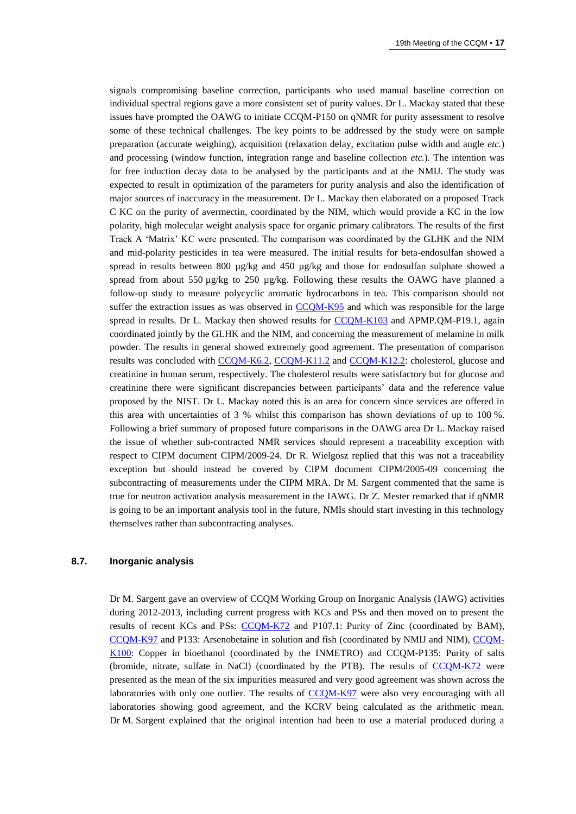signals compromising baseline correction, participants who used manual baseline correction on individual spectral regions gave a more consistent set of purity values. Dr L. Mackay stated that these issues have prompted the OAWG to initiate CCQM-P150 on qNMR for purity assessment to resolve some of these technical challenges. The key points to be addressed by the study were on sample preparation (accurate weighing), acquisition (relaxation delay, excitation pulse width and angle *etc.*) and processing (window function, integration range and baseline collection *etc.*). The intention was for free induction decay data to be analysed by the participants and at the NMIJ. The study was expected to result in optimization of the parameters for purity analysis and also the identification of major sources of inaccuracy in the measurement. Dr L. Mackay then elaborated on a proposed Track C KC on the purity of avermectin, coordinated by the NIM, which would provide a KC in the low polarity, high molecular weight analysis space for organic primary calibrators. The results of the first Track A 'Matrix' KC were presented. The comparison was coordinated by the GLHK and the NIM and mid-polarity pesticides in tea were measured. The initial results for beta-endosulfan showed a spread in results between 800 µg/kg and 450 µg/kg and those for endosulfan sulphate showed a spread from about 550  $\mu$ g/kg to 250  $\mu$ g/kg. Following these results the OAWG have planned a follow-up study to measure polycyclic aromatic hydrocarbons in tea. This comparison should not suffer the extraction issues as was observed in [CCQM-K95](http://kcdb.bipm.org/appendixB/KCDB_ApB_info.asp?cmp_idy=1147&cmp_cod=CCQM-K95&prov=exalead) and which was responsible for the large spread in results. Dr L. Mackay then showed results for [CCQM-K103](http://kcdb.bipm.org/appendixB/KCDB_ApB_info.asp?cmp_idy=1250&cmp_cod=CCQM-K103&prov=exalead) and APMP.QM-P19.1, again coordinated jointly by the GLHK and the NIM, and concerning the measurement of melamine in milk powder. The results in general showed extremely good agreement. The presentation of comparison results was concluded with [CCQM-K6.2,](http://kcdb.bipm.org/appendixB/KCDB_ApB_info.asp?cmp_idy=1246&cmp_cod=CCQM-K6.2&prov=exalead) [CCQM-K11.2](http://kcdb.bipm.org/appendixB/KCDB_ApB_info.asp?cmp_idy=1247&cmp_cod=CCQM-K11.2&prov=exalead) and [CCQM-K12.2:](http://kcdb.bipm.org/appendixB/KCDB_ApB_info.asp?cmp_idy=1248&cmp_cod=CCQM-K12.2&prov=exalead) cholesterol, glucose and creatinine in human serum, respectively. The cholesterol results were satisfactory but for glucose and creatinine there were significant discrepancies between participants' data and the reference value proposed by the NIST. Dr L. Mackay noted this is an area for concern since services are offered in this area with uncertainties of 3 % whilst this comparison has shown deviations of up to 100 %. Following a brief summary of proposed future comparisons in the OAWG area Dr L. Mackay raised the issue of whether sub-contracted NMR services should represent a traceability exception with respect to CIPM document CIPM/2009-24. Dr R. Wielgosz replied that this was not a traceability exception but should instead be covered by CIPM document CIPM/2005-09 concerning the subcontracting of measurements under the CIPM MRA. Dr M. Sargent commented that the same is true for neutron activation analysis measurement in the IAWG. Dr Z. Mester remarked that if qNMR is going to be an important analysis tool in the future, NMIs should start investing in this technology themselves rather than subcontracting analyses.

#### **8.7. Inorganic analysis**

Dr M. Sargent gave an overview of CCQM Working Group on Inorganic Analysis (IAWG) activities during 2012-2013, including current progress with KCs and PSs and then moved on to present the results of recent KCs and PSs: [CCQM-K72](http://kcdb.bipm.org/appendixB/KCDB_ApB_info.asp?cmp_idy=969&cmp_cod=CCQM-K72&prov=exalead) and P107.1: Purity of Zinc (coordinated by BAM), [CCQM-K97](http://kcdb.bipm.org/appendixB/KCDB_ApB_info.asp?cmp_idy=1149&cmp_cod=CCQM-K97&prov=exalead) and P133: Arsenobetaine in solution and fish (coordinated by NMIJ and NIM), [CCQM-](http://kcdb.bipm.org/appendixB/KCDB_ApB_info.asp?cmp_idy=1159&cmp_cod=CCQM-K100&prov=exalead)[K100:](http://kcdb.bipm.org/appendixB/KCDB_ApB_info.asp?cmp_idy=1159&cmp_cod=CCQM-K100&prov=exalead) Copper in bioethanol (coordinated by the INMETRO) and CCQM-P135: Purity of salts (bromide, nitrate, sulfate in NaCl) (coordinated by the PTB). The results of [CCQM-K72](http://kcdb.bipm.org/appendixB/KCDB_ApB_info.asp?cmp_idy=969&cmp_cod=CCQM-K72&prov=exalead) were presented as the mean of the six impurities measured and very good agreement was shown across the laboratories with only one outlier. The results of [CCQM-K97](http://kcdb.bipm.org/appendixB/KCDB_ApB_info.asp?cmp_idy=1149&cmp_cod=CCQM-K97&prov=exalead) were also very encouraging with all laboratories showing good agreement, and the KCRV being calculated as the arithmetic mean. Dr M. Sargent explained that the original intention had been to use a material produced during a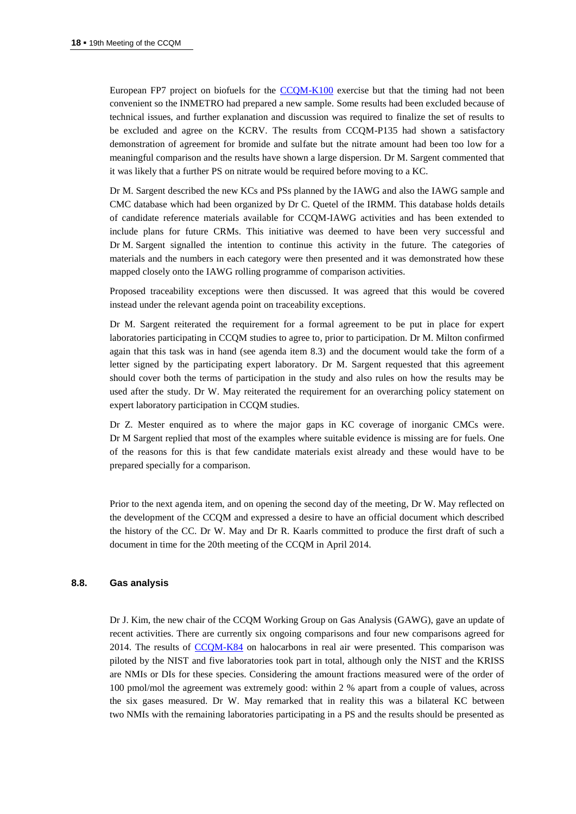European FP7 project on biofuels for the [CCQM-K100](http://kcdb.bipm.org/appendixB/KCDB_ApB_info.asp?cmp_idy=1159&cmp_cod=CCQM-K100&prov=exalead) exercise but that the timing had not been convenient so the INMETRO had prepared a new sample. Some results had been excluded because of technical issues, and further explanation and discussion was required to finalize the set of results to be excluded and agree on the KCRV. The results from CCQM-P135 had shown a satisfactory demonstration of agreement for bromide and sulfate but the nitrate amount had been too low for a meaningful comparison and the results have shown a large dispersion. Dr M. Sargent commented that it was likely that a further PS on nitrate would be required before moving to a KC.

Dr M. Sargent described the new KCs and PSs planned by the IAWG and also the IAWG sample and CMC database which had been organized by Dr C. Quetel of the IRMM. This database holds details of candidate reference materials available for CCQM-IAWG activities and has been extended to include plans for future CRMs. This initiative was deemed to have been very successful and Dr M. Sargent signalled the intention to continue this activity in the future. The categories of materials and the numbers in each category were then presented and it was demonstrated how these mapped closely onto the IAWG rolling programme of comparison activities.

Proposed traceability exceptions were then discussed. It was agreed that this would be covered instead under the relevant agenda point on traceability exceptions.

Dr M. Sargent reiterated the requirement for a formal agreement to be put in place for expert laboratories participating in CCQM studies to agree to, prior to participation. Dr M. Milton confirmed again that this task was in hand (see agenda item 8.3) and the document would take the form of a letter signed by the participating expert laboratory. Dr M. Sargent requested that this agreement should cover both the terms of participation in the study and also rules on how the results may be used after the study. Dr W. May reiterated the requirement for an overarching policy statement on expert laboratory participation in CCQM studies.

Dr Z. Mester enquired as to where the major gaps in KC coverage of inorganic CMCs were. Dr M Sargent replied that most of the examples where suitable evidence is missing are for fuels. One of the reasons for this is that few candidate materials exist already and these would have to be prepared specially for a comparison.

Prior to the next agenda item, and on opening the second day of the meeting, Dr W. May reflected on the development of the CCQM and expressed a desire to have an official document which described the history of the CC. Dr W. May and Dr R. Kaarls committed to produce the first draft of such a document in time for the 20th meeting of the CCQM in April 2014.

#### **8.8. Gas analysis**

Dr J. Kim, the new chair of the CCQM Working Group on Gas Analysis (GAWG), gave an update of recent activities. There are currently six ongoing comparisons and four new comparisons agreed for 2014. The results of [CCQM-K84](http://kcdb.bipm.org/appendixB/KCDB_ApB_info.asp?cmp_idy=1064&cmp_cod=CCQM-K84&prov=exalead) on halocarbons in real air were presented. This comparison was piloted by the NIST and five laboratories took part in total, although only the NIST and the KRISS are NMIs or DIs for these species. Considering the amount fractions measured were of the order of 100 pmol/mol the agreement was extremely good: within 2 % apart from a couple of values, across the six gases measured. Dr W. May remarked that in reality this was a bilateral KC between two NMIs with the remaining laboratories participating in a PS and the results should be presented as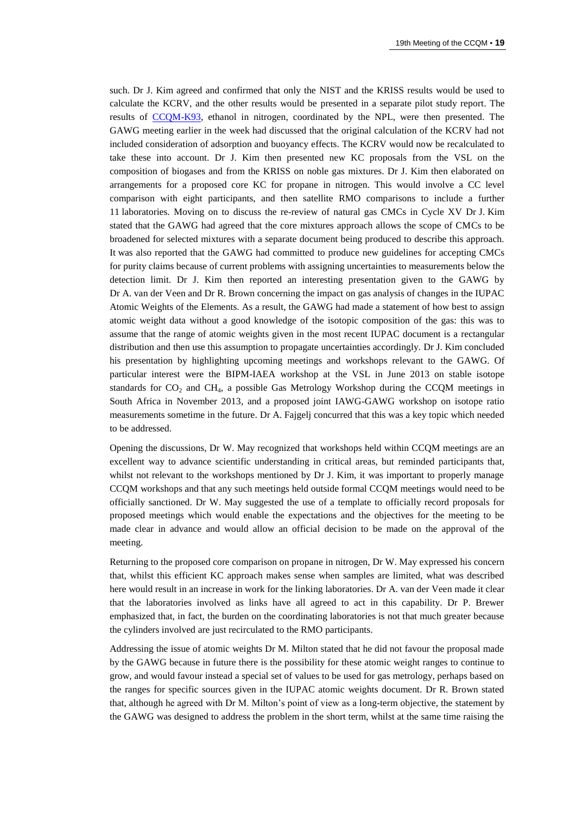such. Dr J. Kim agreed and confirmed that only the NIST and the KRISS results would be used to calculate the KCRV, and the other results would be presented in a separate pilot study report. The results of [CCQM-K93,](http://kcdb.bipm.org/appendixB/KCDB_ApB_info.asp?cmp_idy=1145&cmp_cod=CCQM-K93&prov=exalead) ethanol in nitrogen, coordinated by the NPL, were then presented. The GAWG meeting earlier in the week had discussed that the original calculation of the KCRV had not included consideration of adsorption and buoyancy effects. The KCRV would now be recalculated to take these into account. Dr J. Kim then presented new KC proposals from the VSL on the composition of biogases and from the KRISS on noble gas mixtures. Dr J. Kim then elaborated on arrangements for a proposed core KC for propane in nitrogen. This would involve a CC level comparison with eight participants, and then satellite RMO comparisons to include a further 11 laboratories. Moving on to discuss the re-review of natural gas CMCs in Cycle XV Dr J. Kim stated that the GAWG had agreed that the core mixtures approach allows the scope of CMCs to be broadened for selected mixtures with a separate document being produced to describe this approach. It was also reported that the GAWG had committed to produce new guidelines for accepting CMCs for purity claims because of current problems with assigning uncertainties to measurements below the detection limit. Dr J. Kim then reported an interesting presentation given to the GAWG by Dr A. van der Veen and Dr R. Brown concerning the impact on gas analysis of changes in the IUPAC Atomic Weights of the Elements. As a result, the GAWG had made a statement of how best to assign atomic weight data without a good knowledge of the isotopic composition of the gas: this was to assume that the range of atomic weights given in the most recent IUPAC document is a rectangular distribution and then use this assumption to propagate uncertainties accordingly. Dr J. Kim concluded his presentation by highlighting upcoming meetings and workshops relevant to the GAWG. Of particular interest were the BIPM-IAEA workshop at the VSL in June 2013 on stable isotope standards for  $CO<sub>2</sub>$  and  $CH<sub>4</sub>$ , a possible Gas Metrology Workshop during the CCQM meetings in South Africa in November 2013, and a proposed joint IAWG-GAWG workshop on isotope ratio measurements sometime in the future. Dr A. Fajgelj concurred that this was a key topic which needed to be addressed.

Opening the discussions, Dr W. May recognized that workshops held within CCQM meetings are an excellent way to advance scientific understanding in critical areas, but reminded participants that, whilst not relevant to the workshops mentioned by Dr J. Kim, it was important to properly manage CCQM workshops and that any such meetings held outside formal CCQM meetings would need to be officially sanctioned. Dr W. May suggested the use of a template to officially record proposals for proposed meetings which would enable the expectations and the objectives for the meeting to be made clear in advance and would allow an official decision to be made on the approval of the meeting.

Returning to the proposed core comparison on propane in nitrogen, Dr W. May expressed his concern that, whilst this efficient KC approach makes sense when samples are limited, what was described here would result in an increase in work for the linking laboratories. Dr A. van der Veen made it clear that the laboratories involved as links have all agreed to act in this capability. Dr P. Brewer emphasized that, in fact, the burden on the coordinating laboratories is not that much greater because the cylinders involved are just recirculated to the RMO participants.

Addressing the issue of atomic weights Dr M. Milton stated that he did not favour the proposal made by the GAWG because in future there is the possibility for these atomic weight ranges to continue to grow, and would favour instead a special set of values to be used for gas metrology, perhaps based on the ranges for specific sources given in the IUPAC atomic weights document. Dr R. Brown stated that, although he agreed with Dr M. Milton's point of view as a long-term objective, the statement by the GAWG was designed to address the problem in the short term, whilst at the same time raising the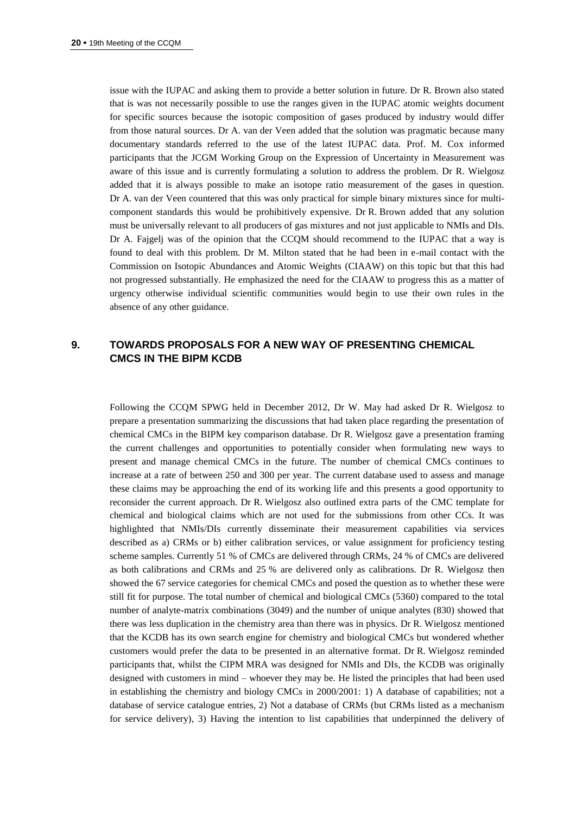issue with the IUPAC and asking them to provide a better solution in future. Dr R. Brown also stated that is was not necessarily possible to use the ranges given in the IUPAC atomic weights document for specific sources because the isotopic composition of gases produced by industry would differ from those natural sources. Dr A. van der Veen added that the solution was pragmatic because many documentary standards referred to the use of the latest IUPAC data. Prof. M. Cox informed participants that the JCGM Working Group on the Expression of Uncertainty in Measurement was aware of this issue and is currently formulating a solution to address the problem. Dr R. Wielgosz added that it is always possible to make an isotope ratio measurement of the gases in question. Dr A. van der Veen countered that this was only practical for simple binary mixtures since for multicomponent standards this would be prohibitively expensive. Dr R. Brown added that any solution must be universally relevant to all producers of gas mixtures and not just applicable to NMIs and DIs. Dr A. Fajgelj was of the opinion that the CCQM should recommend to the IUPAC that a way is found to deal with this problem. Dr M. Milton stated that he had been in e-mail contact with the Commission on Isotopic Abundances and Atomic Weights (CIAAW) on this topic but that this had not progressed substantially. He emphasized the need for the CIAAW to progress this as a matter of urgency otherwise individual scientific communities would begin to use their own rules in the absence of any other guidance.

# **9. TOWARDS PROPOSALS FOR A NEW WAY OF PRESENTING CHEMICAL CMCS IN THE BIPM KCDB**

Following the CCQM SPWG held in December 2012, Dr W. May had asked Dr R. Wielgosz to prepare a presentation summarizing the discussions that had taken place regarding the presentation of chemical CMCs in the BIPM key comparison database. Dr R. Wielgosz gave a presentation framing the current challenges and opportunities to potentially consider when formulating new ways to present and manage chemical CMCs in the future. The number of chemical CMCs continues to increase at a rate of between 250 and 300 per year. The current database used to assess and manage these claims may be approaching the end of its working life and this presents a good opportunity to reconsider the current approach. Dr R. Wielgosz also outlined extra parts of the CMC template for chemical and biological claims which are not used for the submissions from other CCs. It was highlighted that NMIs/DIs currently disseminate their measurement capabilities via services described as a) CRMs or b) either calibration services, or value assignment for proficiency testing scheme samples. Currently 51 % of CMCs are delivered through CRMs, 24 % of CMCs are delivered as both calibrations and CRMs and 25 % are delivered only as calibrations. Dr R. Wielgosz then showed the 67 service categories for chemical CMCs and posed the question as to whether these were still fit for purpose. The total number of chemical and biological CMCs (5360) compared to the total number of analyte-matrix combinations (3049) and the number of unique analytes (830) showed that there was less duplication in the chemistry area than there was in physics. Dr R. Wielgosz mentioned that the KCDB has its own search engine for chemistry and biological CMCs but wondered whether customers would prefer the data to be presented in an alternative format. Dr R. Wielgosz reminded participants that, whilst the CIPM MRA was designed for NMIs and DIs, the KCDB was originally designed with customers in mind – whoever they may be. He listed the principles that had been used in establishing the chemistry and biology CMCs in 2000/2001: 1) A database of capabilities; not a database of service catalogue entries, 2) Not a database of CRMs (but CRMs listed as a mechanism for service delivery), 3) Having the intention to list capabilities that underpinned the delivery of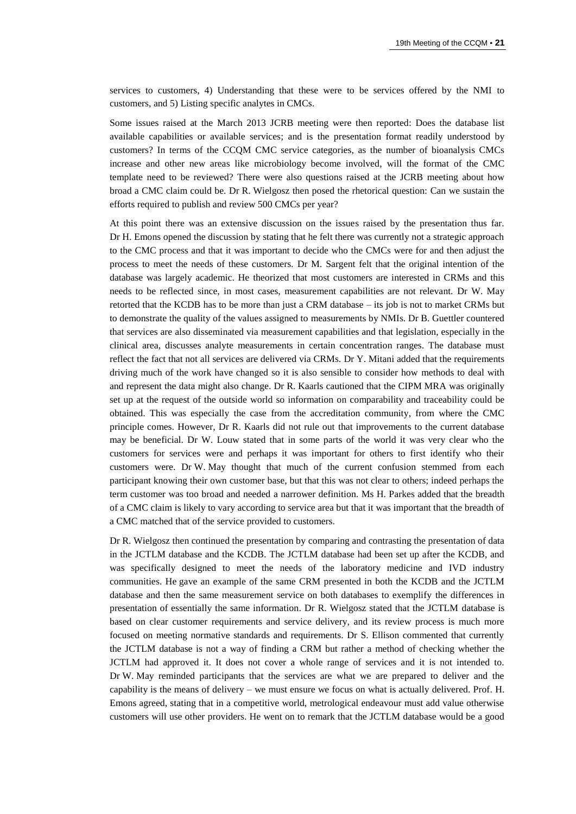services to customers, 4) Understanding that these were to be services offered by the NMI to customers, and 5) Listing specific analytes in CMCs.

Some issues raised at the March 2013 JCRB meeting were then reported: Does the database list available capabilities or available services; and is the presentation format readily understood by customers? In terms of the CCQM CMC service categories, as the number of bioanalysis CMCs increase and other new areas like microbiology become involved, will the format of the CMC template need to be reviewed? There were also questions raised at the JCRB meeting about how broad a CMC claim could be. Dr R. Wielgosz then posed the rhetorical question: Can we sustain the efforts required to publish and review 500 CMCs per year?

At this point there was an extensive discussion on the issues raised by the presentation thus far. Dr H. Emons opened the discussion by stating that he felt there was currently not a strategic approach to the CMC process and that it was important to decide who the CMCs were for and then adjust the process to meet the needs of these customers. Dr M. Sargent felt that the original intention of the database was largely academic. He theorized that most customers are interested in CRMs and this needs to be reflected since, in most cases, measurement capabilities are not relevant. Dr W. May retorted that the KCDB has to be more than just a CRM database – its job is not to market CRMs but to demonstrate the quality of the values assigned to measurements by NMIs. Dr B. Guettler countered that services are also disseminated via measurement capabilities and that legislation, especially in the clinical area, discusses analyte measurements in certain concentration ranges. The database must reflect the fact that not all services are delivered via CRMs. Dr Y. Mitani added that the requirements driving much of the work have changed so it is also sensible to consider how methods to deal with and represent the data might also change. Dr R. Kaarls cautioned that the CIPM MRA was originally set up at the request of the outside world so information on comparability and traceability could be obtained. This was especially the case from the accreditation community, from where the CMC principle comes. However, Dr R. Kaarls did not rule out that improvements to the current database may be beneficial. Dr W. Louw stated that in some parts of the world it was very clear who the customers for services were and perhaps it was important for others to first identify who their customers were. Dr W. May thought that much of the current confusion stemmed from each participant knowing their own customer base, but that this was not clear to others; indeed perhaps the term customer was too broad and needed a narrower definition. Ms H. Parkes added that the breadth of a CMC claim is likely to vary according to service area but that it was important that the breadth of a CMC matched that of the service provided to customers.

Dr R. Wielgosz then continued the presentation by comparing and contrasting the presentation of data in the JCTLM database and the KCDB. The JCTLM database had been set up after the KCDB, and was specifically designed to meet the needs of the laboratory medicine and IVD industry communities. He gave an example of the same CRM presented in both the KCDB and the JCTLM database and then the same measurement service on both databases to exemplify the differences in presentation of essentially the same information. Dr R. Wielgosz stated that the JCTLM database is based on clear customer requirements and service delivery, and its review process is much more focused on meeting normative standards and requirements. Dr S. Ellison commented that currently the JCTLM database is not a way of finding a CRM but rather a method of checking whether the JCTLM had approved it. It does not cover a whole range of services and it is not intended to. Dr W. May reminded participants that the services are what we are prepared to deliver and the capability is the means of delivery – we must ensure we focus on what is actually delivered. Prof. H. Emons agreed, stating that in a competitive world, metrological endeavour must add value otherwise customers will use other providers. He went on to remark that the JCTLM database would be a good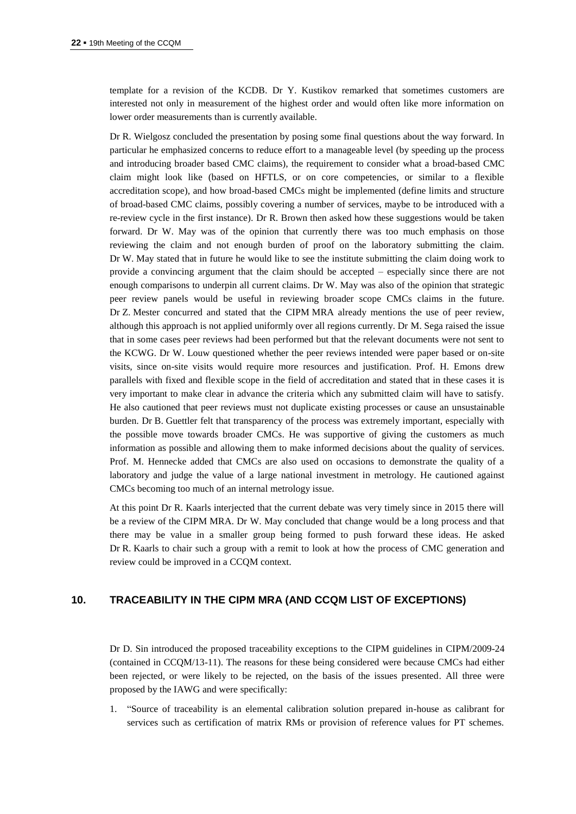template for a revision of the KCDB. Dr Y. Kustikov remarked that sometimes customers are interested not only in measurement of the highest order and would often like more information on lower order measurements than is currently available.

Dr R. Wielgosz concluded the presentation by posing some final questions about the way forward. In particular he emphasized concerns to reduce effort to a manageable level (by speeding up the process and introducing broader based CMC claims), the requirement to consider what a broad-based CMC claim might look like (based on HFTLS, or on core competencies, or similar to a flexible accreditation scope), and how broad-based CMCs might be implemented (define limits and structure of broad-based CMC claims, possibly covering a number of services, maybe to be introduced with a re-review cycle in the first instance). Dr R. Brown then asked how these suggestions would be taken forward. Dr W. May was of the opinion that currently there was too much emphasis on those reviewing the claim and not enough burden of proof on the laboratory submitting the claim. Dr W. May stated that in future he would like to see the institute submitting the claim doing work to provide a convincing argument that the claim should be accepted – especially since there are not enough comparisons to underpin all current claims. Dr W. May was also of the opinion that strategic peer review panels would be useful in reviewing broader scope CMCs claims in the future. Dr Z. Mester concurred and stated that the CIPM MRA already mentions the use of peer review, although this approach is not applied uniformly over all regions currently. Dr M. Sega raised the issue that in some cases peer reviews had been performed but that the relevant documents were not sent to the KCWG. Dr W. Louw questioned whether the peer reviews intended were paper based or on-site visits, since on-site visits would require more resources and justification. Prof. H. Emons drew parallels with fixed and flexible scope in the field of accreditation and stated that in these cases it is very important to make clear in advance the criteria which any submitted claim will have to satisfy. He also cautioned that peer reviews must not duplicate existing processes or cause an unsustainable burden. Dr B. Guettler felt that transparency of the process was extremely important, especially with the possible move towards broader CMCs. He was supportive of giving the customers as much information as possible and allowing them to make informed decisions about the quality of services. Prof. M. Hennecke added that CMCs are also used on occasions to demonstrate the quality of a laboratory and judge the value of a large national investment in metrology. He cautioned against CMCs becoming too much of an internal metrology issue.

At this point Dr R. Kaarls interjected that the current debate was very timely since in 2015 there will be a review of the CIPM MRA. Dr W. May concluded that change would be a long process and that there may be value in a smaller group being formed to push forward these ideas. He asked Dr R. Kaarls to chair such a group with a remit to look at how the process of CMC generation and review could be improved in a CCQM context.

# **10. TRACEABILITY IN THE CIPM MRA (AND CCQM LIST OF EXCEPTIONS)**

Dr D. Sin introduced the proposed traceability exceptions to the CIPM guidelines in CIPM/2009-24 (contained in CCQM/13-11). The reasons for these being considered were because CMCs had either been rejected, or were likely to be rejected, on the basis of the issues presented. All three were proposed by the IAWG and were specifically:

1. "Source of traceability is an elemental calibration solution prepared in-house as calibrant for services such as certification of matrix RMs or provision of reference values for PT schemes.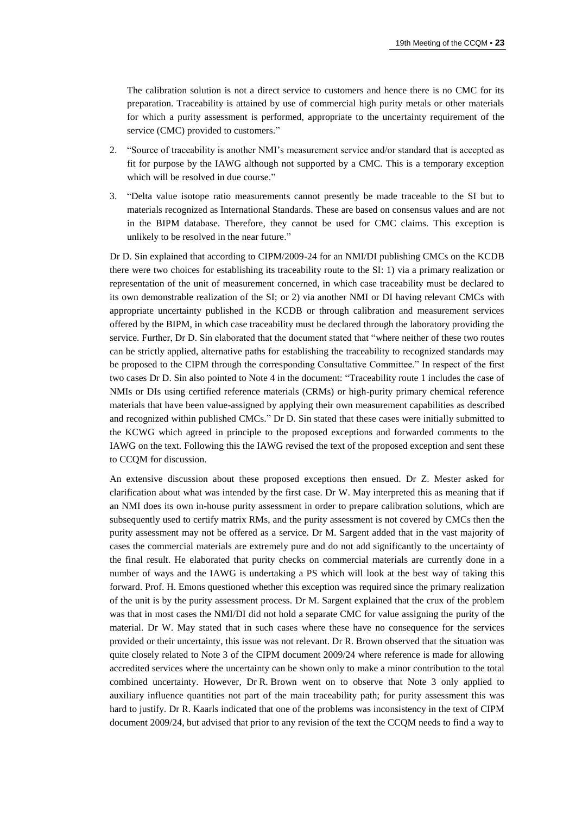The calibration solution is not a direct service to customers and hence there is no CMC for its preparation. Traceability is attained by use of commercial high purity metals or other materials for which a purity assessment is performed, appropriate to the uncertainty requirement of the service (CMC) provided to customers."

- 2. "Source of traceability is another NMI's measurement service and/or standard that is accepted as fit for purpose by the IAWG although not supported by a CMC. This is a temporary exception which will be resolved in due course."
- 3. "Delta value isotope ratio measurements cannot presently be made traceable to the SI but to materials recognized as International Standards. These are based on consensus values and are not in the BIPM database. Therefore, they cannot be used for CMC claims. This exception is unlikely to be resolved in the near future."

Dr D. Sin explained that according to CIPM/2009-24 for an NMI/DI publishing CMCs on the KCDB there were two choices for establishing its traceability route to the SI: 1) via a primary realization or representation of the unit of measurement concerned, in which case traceability must be declared to its own demonstrable realization of the SI; or 2) via another NMI or DI having relevant CMCs with appropriate uncertainty published in the KCDB or through calibration and measurement services offered by the BIPM, in which case traceability must be declared through the laboratory providing the service. Further, Dr D. Sin elaborated that the document stated that "where neither of these two routes can be strictly applied, alternative paths for establishing the traceability to recognized standards may be proposed to the CIPM through the corresponding Consultative Committee." In respect of the first two cases Dr D. Sin also pointed to Note 4 in the document: "Traceability route 1 includes the case of NMIs or DIs using certified reference materials (CRMs) or high-purity primary chemical reference materials that have been value-assigned by applying their own measurement capabilities as described and recognized within published CMCs." Dr D. Sin stated that these cases were initially submitted to the KCWG which agreed in principle to the proposed exceptions and forwarded comments to the IAWG on the text. Following this the IAWG revised the text of the proposed exception and sent these to CCQM for discussion.

An extensive discussion about these proposed exceptions then ensued. Dr Z. Mester asked for clarification about what was intended by the first case. Dr W. May interpreted this as meaning that if an NMI does its own in-house purity assessment in order to prepare calibration solutions, which are subsequently used to certify matrix RMs, and the purity assessment is not covered by CMCs then the purity assessment may not be offered as a service. Dr M. Sargent added that in the vast majority of cases the commercial materials are extremely pure and do not add significantly to the uncertainty of the final result. He elaborated that purity checks on commercial materials are currently done in a number of ways and the IAWG is undertaking a PS which will look at the best way of taking this forward. Prof. H. Emons questioned whether this exception was required since the primary realization of the unit is by the purity assessment process. Dr M. Sargent explained that the crux of the problem was that in most cases the NMI/DI did not hold a separate CMC for value assigning the purity of the material. Dr W. May stated that in such cases where these have no consequence for the services provided or their uncertainty, this issue was not relevant. Dr R. Brown observed that the situation was quite closely related to Note 3 of the CIPM document 2009/24 where reference is made for allowing accredited services where the uncertainty can be shown only to make a minor contribution to the total combined uncertainty. However, Dr R. Brown went on to observe that Note 3 only applied to auxiliary influence quantities not part of the main traceability path; for purity assessment this was hard to justify. Dr R. Kaarls indicated that one of the problems was inconsistency in the text of CIPM document 2009/24, but advised that prior to any revision of the text the CCQM needs to find a way to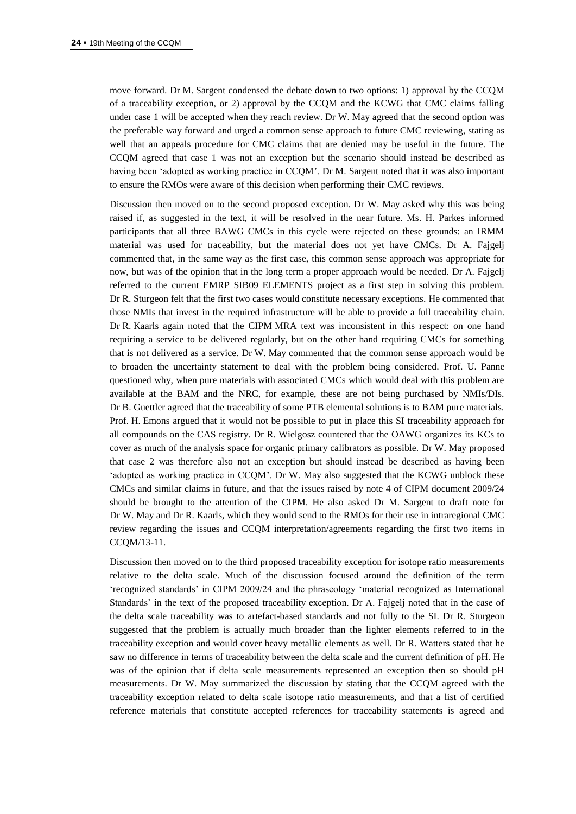move forward. Dr M. Sargent condensed the debate down to two options: 1) approval by the CCQM of a traceability exception, or 2) approval by the CCQM and the KCWG that CMC claims falling under case 1 will be accepted when they reach review. Dr W. May agreed that the second option was the preferable way forward and urged a common sense approach to future CMC reviewing, stating as well that an appeals procedure for CMC claims that are denied may be useful in the future. The CCQM agreed that case 1 was not an exception but the scenario should instead be described as having been 'adopted as working practice in CCQM'. Dr M. Sargent noted that it was also important to ensure the RMOs were aware of this decision when performing their CMC reviews.

Discussion then moved on to the second proposed exception. Dr W. May asked why this was being raised if, as suggested in the text, it will be resolved in the near future. Ms. H. Parkes informed participants that all three BAWG CMCs in this cycle were rejected on these grounds: an IRMM material was used for traceability, but the material does not yet have CMCs. Dr A. Fajgelj commented that, in the same way as the first case, this common sense approach was appropriate for now, but was of the opinion that in the long term a proper approach would be needed. Dr A. Fajgelj referred to the current EMRP SIB09 ELEMENTS project as a first step in solving this problem. Dr R. Sturgeon felt that the first two cases would constitute necessary exceptions. He commented that those NMIs that invest in the required infrastructure will be able to provide a full traceability chain. Dr R. Kaarls again noted that the CIPM MRA text was inconsistent in this respect: on one hand requiring a service to be delivered regularly, but on the other hand requiring CMCs for something that is not delivered as a service. Dr W. May commented that the common sense approach would be to broaden the uncertainty statement to deal with the problem being considered. Prof. U. Panne questioned why, when pure materials with associated CMCs which would deal with this problem are available at the BAM and the NRC, for example, these are not being purchased by NMIs/DIs. Dr B. Guettler agreed that the traceability of some PTB elemental solutions is to BAM pure materials. Prof. H. Emons argued that it would not be possible to put in place this SI traceability approach for all compounds on the CAS registry. Dr R. Wielgosz countered that the OAWG organizes its KCs to cover as much of the analysis space for organic primary calibrators as possible. Dr W. May proposed that case 2 was therefore also not an exception but should instead be described as having been 'adopted as working practice in CCQM'. Dr W. May also suggested that the KCWG unblock these CMCs and similar claims in future, and that the issues raised by note 4 of CIPM document 2009/24 should be brought to the attention of the CIPM. He also asked Dr M. Sargent to draft note for Dr W. May and Dr R. Kaarls, which they would send to the RMOs for their use in intraregional CMC review regarding the issues and CCQM interpretation/agreements regarding the first two items in CCQM/13-11.

Discussion then moved on to the third proposed traceability exception for isotope ratio measurements relative to the delta scale. Much of the discussion focused around the definition of the term 'recognized standards' in CIPM 2009/24 and the phraseology 'material recognized as International Standards' in the text of the proposed traceability exception. Dr A. Fajgelj noted that in the case of the delta scale traceability was to artefact-based standards and not fully to the SI. Dr R. Sturgeon suggested that the problem is actually much broader than the lighter elements referred to in the traceability exception and would cover heavy metallic elements as well. Dr R. Watters stated that he saw no difference in terms of traceability between the delta scale and the current definition of pH. He was of the opinion that if delta scale measurements represented an exception then so should pH measurements. Dr W. May summarized the discussion by stating that the CCQM agreed with the traceability exception related to delta scale isotope ratio measurements, and that a list of certified reference materials that constitute accepted references for traceability statements is agreed and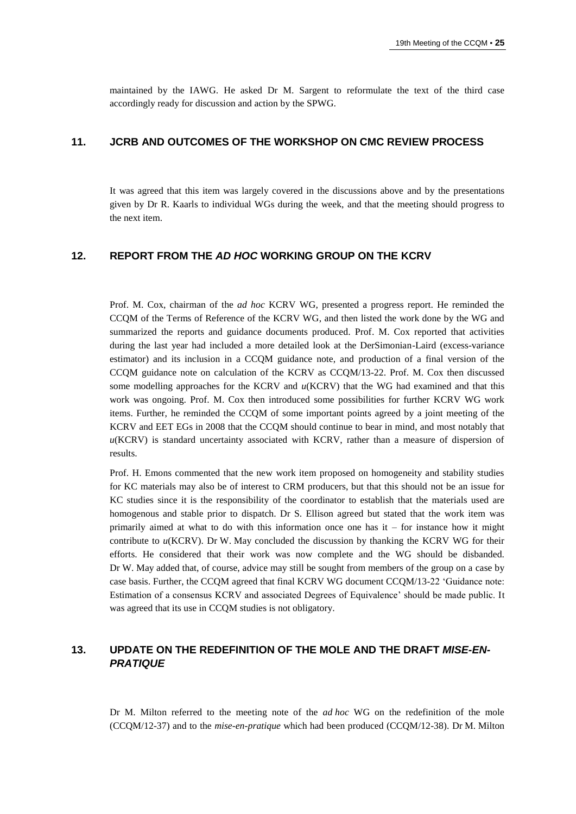maintained by the IAWG. He asked Dr M. Sargent to reformulate the text of the third case accordingly ready for discussion and action by the SPWG.

## **11. JCRB AND OUTCOMES OF THE WORKSHOP ON CMC REVIEW PROCESS**

It was agreed that this item was largely covered in the discussions above and by the presentations given by Dr R. Kaarls to individual WGs during the week, and that the meeting should progress to the next item.

## **12. REPORT FROM THE** *AD HOC* **WORKING GROUP ON THE KCRV**

Prof. M. Cox, chairman of the *ad hoc* KCRV WG, presented a progress report. He reminded the CCQM of the Terms of Reference of the KCRV WG, and then listed the work done by the WG and summarized the reports and guidance documents produced. Prof. M. Cox reported that activities during the last year had included a more detailed look at the DerSimonian-Laird (excess-variance estimator) and its inclusion in a CCQM guidance note, and production of a final version of the CCQM guidance note on calculation of the KCRV as CCQM/13-22. Prof. M. Cox then discussed some modelling approaches for the KCRV and  $u(KCRV)$  that the WG had examined and that this work was ongoing. Prof. M. Cox then introduced some possibilities for further KCRV WG work items. Further, he reminded the CCQM of some important points agreed by a joint meeting of the KCRV and EET EGs in 2008 that the CCQM should continue to bear in mind, and most notably that *u*(KCRV) is standard uncertainty associated with KCRV, rather than a measure of dispersion of results.

Prof. H. Emons commented that the new work item proposed on homogeneity and stability studies for KC materials may also be of interest to CRM producers, but that this should not be an issue for KC studies since it is the responsibility of the coordinator to establish that the materials used are homogenous and stable prior to dispatch. Dr S. Ellison agreed but stated that the work item was primarily aimed at what to do with this information once one has it – for instance how it might contribute to *u*(KCRV). Dr W. May concluded the discussion by thanking the KCRV WG for their efforts. He considered that their work was now complete and the WG should be disbanded. Dr W. May added that, of course, advice may still be sought from members of the group on a case by case basis. Further, the CCQM agreed that final KCRV WG document CCQM/13-22 'Guidance note: Estimation of a consensus KCRV and associated Degrees of Equivalence' should be made public. It was agreed that its use in CCQM studies is not obligatory.

# **13. UPDATE ON THE REDEFINITION OF THE MOLE AND THE DRAFT** *MISE-EN-PRATIQUE*

Dr M. Milton referred to the meeting note of the *ad hoc* WG on the redefinition of the mole (CCQM/12-37) and to the *mise-en-pratique* which had been produced (CCQM/12-38). Dr M. Milton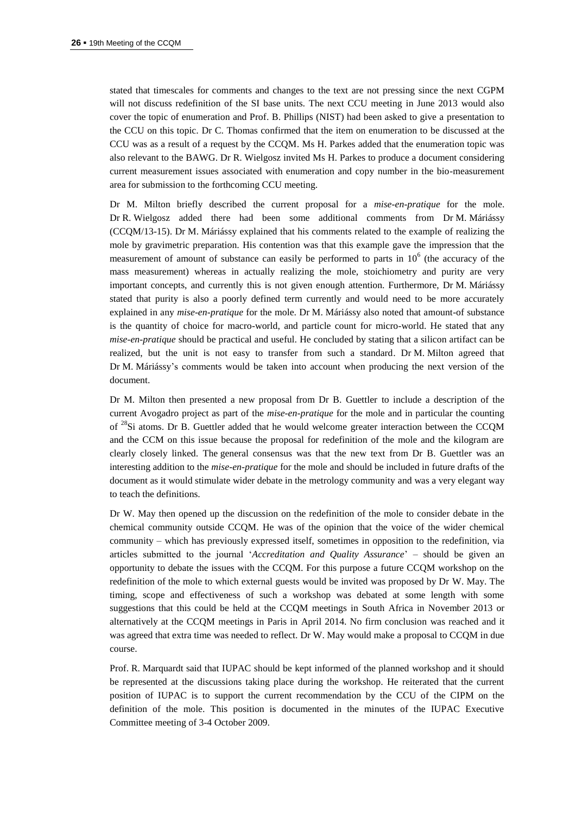stated that timescales for comments and changes to the text are not pressing since the next CGPM will not discuss redefinition of the SI base units. The next CCU meeting in June 2013 would also cover the topic of enumeration and Prof. B. Phillips (NIST) had been asked to give a presentation to the CCU on this topic. Dr C. Thomas confirmed that the item on enumeration to be discussed at the CCU was as a result of a request by the CCQM. Ms H. Parkes added that the enumeration topic was also relevant to the BAWG. Dr R. Wielgosz invited Ms H. Parkes to produce a document considering current measurement issues associated with enumeration and copy number in the bio-measurement area for submission to the forthcoming CCU meeting.

Dr M. Milton briefly described the current proposal for a *mise-en-pratique* for the mole. Dr R. Wielgosz added there had been some additional comments from Dr M. Máriássy (CCQM/13-15). Dr M. Máriássy explained that his comments related to the example of realizing the mole by gravimetric preparation. His contention was that this example gave the impression that the measurement of amount of substance can easily be performed to parts in  $10<sup>6</sup>$  (the accuracy of the mass measurement) whereas in actually realizing the mole, stoichiometry and purity are very important concepts, and currently this is not given enough attention. Furthermore, Dr M. Máriássy stated that purity is also a poorly defined term currently and would need to be more accurately explained in any *mise-en-pratique* for the mole. Dr M. Máriássy also noted that amount-of substance is the quantity of choice for macro-world, and particle count for micro-world. He stated that any *mise-en-pratique* should be practical and useful. He concluded by stating that a silicon artifact can be realized, but the unit is not easy to transfer from such a standard. Dr M. Milton agreed that Dr M. Máriássy's comments would be taken into account when producing the next version of the document.

Dr M. Milton then presented a new proposal from Dr B. Guettler to include a description of the current Avogadro project as part of the *mise-en-pratique* for the mole and in particular the counting of <sup>28</sup>Si atoms. Dr B. Guettler added that he would welcome greater interaction between the CCQM and the CCM on this issue because the proposal for redefinition of the mole and the kilogram are clearly closely linked. The general consensus was that the new text from Dr B. Guettler was an interesting addition to the *mise-en-pratique* for the mole and should be included in future drafts of the document as it would stimulate wider debate in the metrology community and was a very elegant way to teach the definitions.

Dr W. May then opened up the discussion on the redefinition of the mole to consider debate in the chemical community outside CCQM. He was of the opinion that the voice of the wider chemical community – which has previously expressed itself, sometimes in opposition to the redefinition, via articles submitted to the journal '*Accreditation and Quality Assurance*' – should be given an opportunity to debate the issues with the CCQM. For this purpose a future CCQM workshop on the redefinition of the mole to which external guests would be invited was proposed by Dr W. May. The timing, scope and effectiveness of such a workshop was debated at some length with some suggestions that this could be held at the CCQM meetings in South Africa in November 2013 or alternatively at the CCQM meetings in Paris in April 2014. No firm conclusion was reached and it was agreed that extra time was needed to reflect. Dr W. May would make a proposal to CCQM in due course.

Prof. R. Marquardt said that IUPAC should be kept informed of the planned workshop and it should be represented at the discussions taking place during the workshop. He reiterated that the current position of IUPAC is to support the current recommendation by the CCU of the CIPM on the definition of the mole. This position is documented in the minutes of the IUPAC Executive Committee meeting of 3-4 October 2009.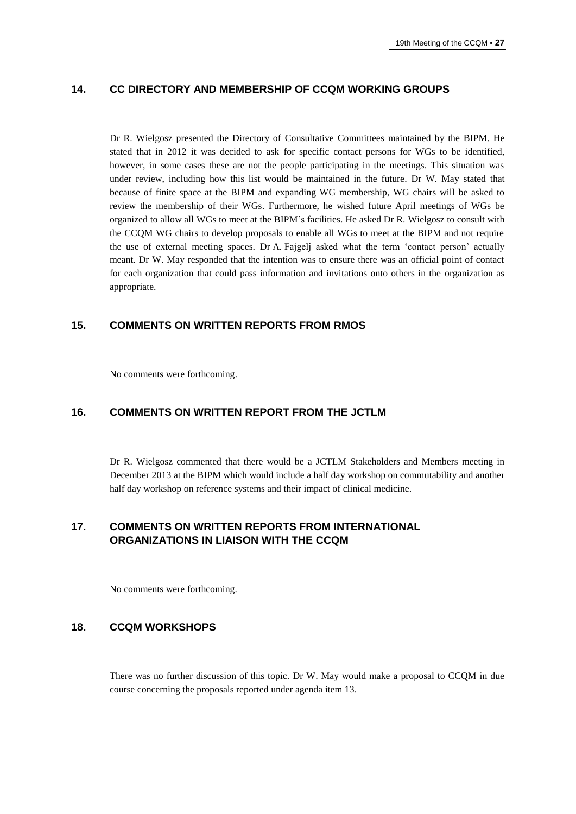# **14. CC DIRECTORY AND MEMBERSHIP OF CCQM WORKING GROUPS**

Dr R. Wielgosz presented the Directory of Consultative Committees maintained by the BIPM. He stated that in 2012 it was decided to ask for specific contact persons for WGs to be identified, however, in some cases these are not the people participating in the meetings. This situation was under review, including how this list would be maintained in the future. Dr W. May stated that because of finite space at the BIPM and expanding WG membership, WG chairs will be asked to review the membership of their WGs. Furthermore, he wished future April meetings of WGs be organized to allow all WGs to meet at the BIPM's facilities. He asked Dr R. Wielgosz to consult with the CCQM WG chairs to develop proposals to enable all WGs to meet at the BIPM and not require the use of external meeting spaces. Dr A. Fajgelj asked what the term 'contact person' actually meant. Dr W. May responded that the intention was to ensure there was an official point of contact for each organization that could pass information and invitations onto others in the organization as appropriate.

## **15. COMMENTS ON WRITTEN REPORTS FROM RMOS**

No comments were forthcoming.

# **16. COMMENTS ON WRITTEN REPORT FROM THE JCTLM**

Dr R. Wielgosz commented that there would be a JCTLM Stakeholders and Members meeting in December 2013 at the BIPM which would include a half day workshop on commutability and another half day workshop on reference systems and their impact of clinical medicine.

# **17. COMMENTS ON WRITTEN REPORTS FROM INTERNATIONAL ORGANIZATIONS IN LIAISON WITH THE CCQM**

No comments were forthcoming.

#### **18. CCQM WORKSHOPS**

There was no further discussion of this topic. Dr W. May would make a proposal to CCQM in due course concerning the proposals reported under agenda item 13.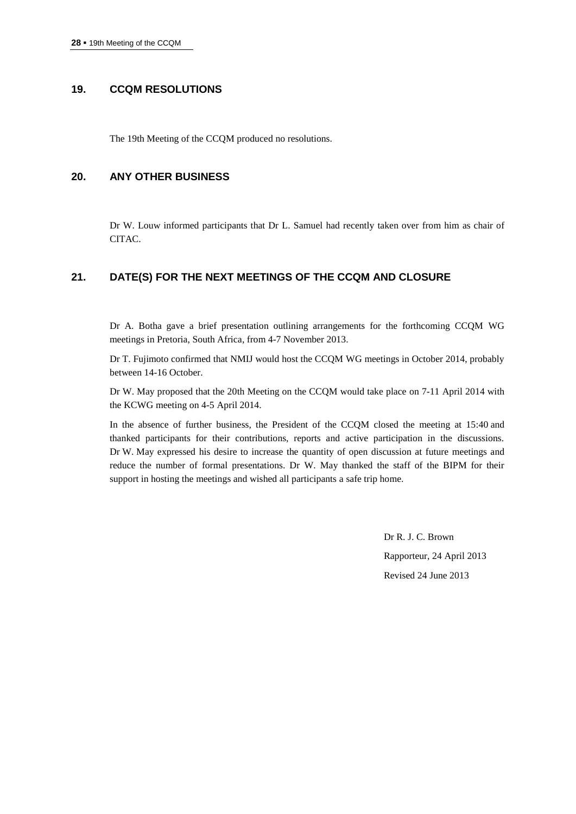## **19. CCQM RESOLUTIONS**

The 19th Meeting of the CCQM produced no resolutions.

## **20. ANY OTHER BUSINESS**

Dr W. Louw informed participants that Dr L. Samuel had recently taken over from him as chair of CITAC.

# **21. DATE(S) FOR THE NEXT MEETINGS OF THE CCQM AND CLOSURE**

Dr A. Botha gave a brief presentation outlining arrangements for the forthcoming CCQM WG meetings in Pretoria, South Africa, from 4-7 November 2013.

Dr T. Fujimoto confirmed that NMIJ would host the CCQM WG meetings in October 2014, probably between 14-16 October.

Dr W. May proposed that the 20th Meeting on the CCQM would take place on 7-11 April 2014 with the KCWG meeting on 4-5 April 2014.

In the absence of further business, the President of the CCQM closed the meeting at 15:40 and thanked participants for their contributions, reports and active participation in the discussions. Dr W. May expressed his desire to increase the quantity of open discussion at future meetings and reduce the number of formal presentations. Dr W. May thanked the staff of the BIPM for their support in hosting the meetings and wished all participants a safe trip home.

> Dr R. J. C. Brown Rapporteur, 24 April 2013 Revised 24 June 2013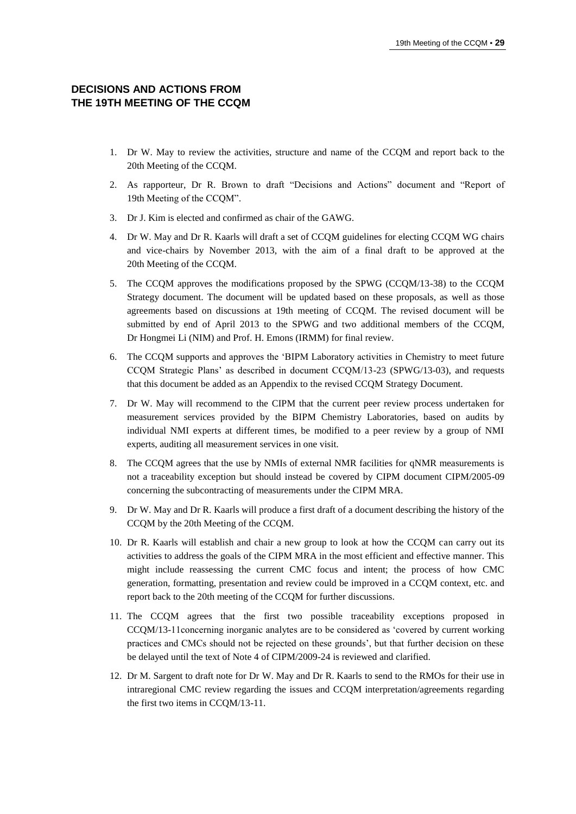# **DECISIONS AND ACTIONS FROM THE 19TH MEETING OF THE CCQM**

- 1. Dr W. May to review the activities, structure and name of the CCQM and report back to the 20th Meeting of the CCQM.
- 2. As rapporteur, Dr R. Brown to draft "Decisions and Actions" document and "Report of 19th Meeting of the CCQM".
- 3. Dr J. Kim is elected and confirmed as chair of the GAWG.
- 4. Dr W. May and Dr R. Kaarls will draft a set of CCQM guidelines for electing CCQM WG chairs and vice-chairs by November 2013, with the aim of a final draft to be approved at the 20th Meeting of the CCQM.
- 5. The CCQM approves the modifications proposed by the SPWG (CCQM/13-38) to the CCQM Strategy document. The document will be updated based on these proposals, as well as those agreements based on discussions at 19th meeting of CCQM. The revised document will be submitted by end of April 2013 to the SPWG and two additional members of the CCQM, Dr Hongmei Li (NIM) and Prof. H. Emons (IRMM) for final review.
- 6. The CCQM supports and approves the 'BIPM Laboratory activities in Chemistry to meet future CCQM Strategic Plans' as described in document CCQM/13-23 (SPWG/13-03), and requests that this document be added as an Appendix to the revised CCQM Strategy Document.
- 7. Dr W. May will recommend to the CIPM that the current peer review process undertaken for measurement services provided by the BIPM Chemistry Laboratories, based on audits by individual NMI experts at different times, be modified to a peer review by a group of NMI experts, auditing all measurement services in one visit.
- 8. The CCQM agrees that the use by NMIs of external NMR facilities for qNMR measurements is not a traceability exception but should instead be covered by CIPM document CIPM/2005-09 concerning the subcontracting of measurements under the CIPM MRA.
- 9. Dr W. May and Dr R. Kaarls will produce a first draft of a document describing the history of the CCQM by the 20th Meeting of the CCQM.
- 10. Dr R. Kaarls will establish and chair a new group to look at how the CCQM can carry out its activities to address the goals of the CIPM MRA in the most efficient and effective manner. This might include reassessing the current CMC focus and intent; the process of how CMC generation, formatting, presentation and review could be improved in a CCQM context, etc. and report back to the 20th meeting of the CCQM for further discussions.
- 11. The CCQM agrees that the first two possible traceability exceptions proposed in CCQM/13-11concerning inorganic analytes are to be considered as 'covered by current working practices and CMCs should not be rejected on these grounds', but that further decision on these be delayed until the text of Note 4 of CIPM/2009-24 is reviewed and clarified.
- 12. Dr M. Sargent to draft note for Dr W. May and Dr R. Kaarls to send to the RMOs for their use in intraregional CMC review regarding the issues and CCQM interpretation/agreements regarding the first two items in CCQM/13-11.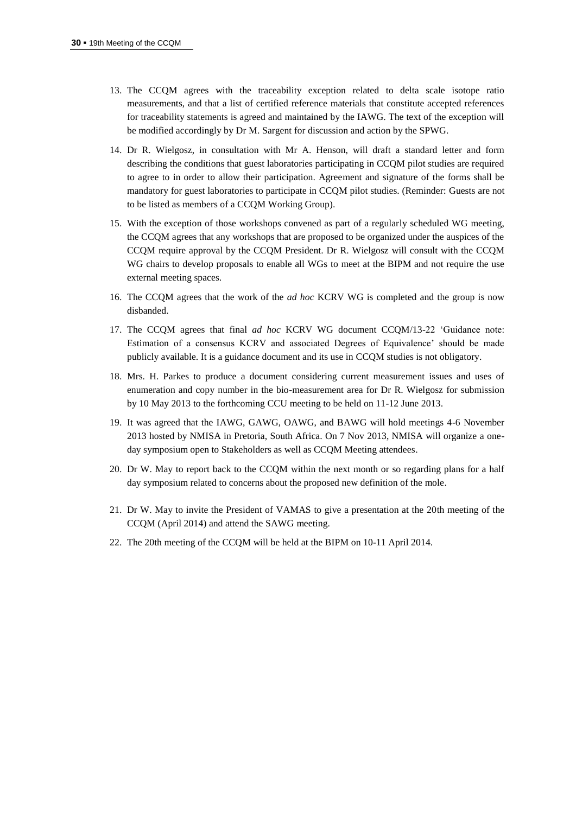- 13. The CCQM agrees with the traceability exception related to delta scale isotope ratio measurements, and that a list of certified reference materials that constitute accepted references for traceability statements is agreed and maintained by the IAWG. The text of the exception will be modified accordingly by Dr M. Sargent for discussion and action by the SPWG.
- 14. Dr R. Wielgosz, in consultation with Mr A. Henson, will draft a standard letter and form describing the conditions that guest laboratories participating in CCQM pilot studies are required to agree to in order to allow their participation. Agreement and signature of the forms shall be mandatory for guest laboratories to participate in CCQM pilot studies. (Reminder: Guests are not to be listed as members of a CCQM Working Group).
- 15. With the exception of those workshops convened as part of a regularly scheduled WG meeting, the CCQM agrees that any workshops that are proposed to be organized under the auspices of the CCQM require approval by the CCQM President. Dr R. Wielgosz will consult with the CCQM WG chairs to develop proposals to enable all WGs to meet at the BIPM and not require the use external meeting spaces.
- 16. The CCQM agrees that the work of the *ad hoc* KCRV WG is completed and the group is now disbanded.
- 17. The CCQM agrees that final *ad hoc* KCRV WG document CCQM/13-22 'Guidance note: Estimation of a consensus KCRV and associated Degrees of Equivalence' should be made publicly available. It is a guidance document and its use in CCQM studies is not obligatory.
- 18. Mrs. H. Parkes to produce a document considering current measurement issues and uses of enumeration and copy number in the bio-measurement area for Dr R. Wielgosz for submission by 10 May 2013 to the forthcoming CCU meeting to be held on 11-12 June 2013.
- 19. It was agreed that the IAWG, GAWG, OAWG, and BAWG will hold meetings 4-6 November 2013 hosted by NMISA in Pretoria, South Africa. On 7 Nov 2013, NMISA will organize a oneday symposium open to Stakeholders as well as CCQM Meeting attendees.
- 20. Dr W. May to report back to the CCQM within the next month or so regarding plans for a half day symposium related to concerns about the proposed new definition of the mole.
- 21. Dr W. May to invite the President of VAMAS to give a presentation at the 20th meeting of the CCQM (April 2014) and attend the SAWG meeting.
- 22. The 20th meeting of the CCQM will be held at the BIPM on 10-11 April 2014.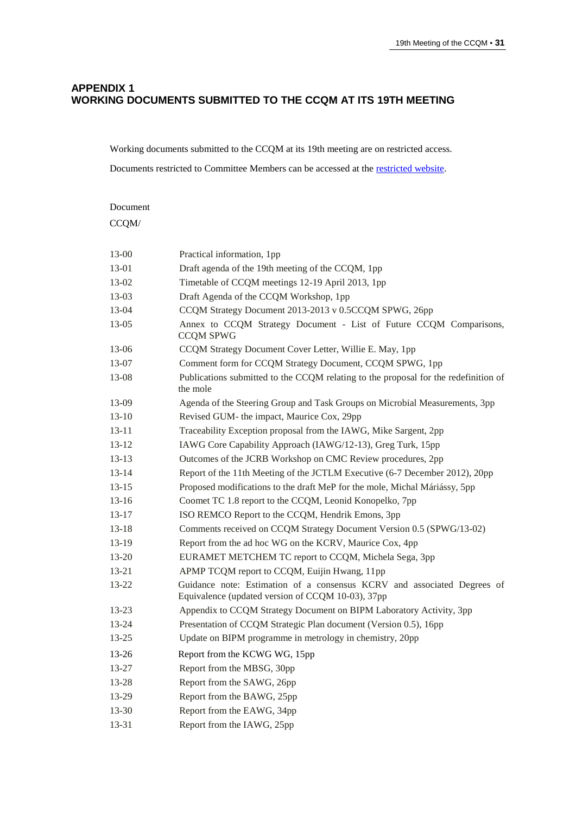# **APPENDIX 1 WORKING DOCUMENTS SUBMITTED TO THE CCQM AT ITS 19TH MEETING**

Working documents submitted to the CCQM at its 19th meeting are on restricted access.

Documents restricted to Committee Members can be accessed at the [restricted website.](http://www.bipm.org/en/committees/cc/ccqm/)

# Document CCQM/ 13-00 Practical information, 1pp 13-01 Draft agenda of the 19th meeting of the CCQM, 1pp 13-02 Timetable of CCQM meetings 12-19 April 2013, 1pp 13-03 Draft Agenda of the CCQM Workshop, 1pp 13-04 CCQM Strategy Document 2013-2013 v 0.5CCQM SPWG, 26pp 13-05 Annex to CCQM Strategy Document - List of Future CCQM Comparisons, CCQM SPWG 13-06 CCQM Strategy Document Cover Letter, Willie E. May, 1pp 13-07 Comment form for CCQM Strategy Document, CCQM SPWG, 1pp 13-08 Publications submitted to the CCQM relating to the proposal for the redefinition of the mole 13-09 Agenda of the Steering Group and Task Groups on Microbial Measurements, 3pp 13-10 Revised GUM- the impact, Maurice Cox, 29pp 13-11 Traceability Exception proposal from the IAWG, Mike Sargent, 2pp 13-12 IAWG Core Capability Approach (IAWG/12-13), Greg Turk, 15pp 13-13 Outcomes of the JCRB Workshop on CMC Review procedures, 2pp 13-14 Report of the 11th Meeting of the JCTLM Executive (6-7 December 2012), 20pp 13-15 Proposed modifications to the draft MeP for the mole, Michal Máriássy, 5pp 13-16 Coomet TC 1.8 report to the CCQM, Leonid Konopelko, 7pp 13-17 ISO REMCO Report to the CCQM, Hendrik Emons, 3pp 13-18 Comments received on CCQM Strategy Document Version 0.5 (SPWG/13-02) 13-19 Report from the ad hoc WG on the KCRV, Maurice Cox, 4pp 13-20 EURAMET METCHEM TC report to CCQM, Michela Sega, 3pp 13-21 APMP TCQM report to CCQM, Euijin Hwang, 11pp 13-22 Guidance note: Estimation of a consensus KCRV and associated Degrees of Equivalence (updated version of CCQM 10-03), 37pp 13-23 Appendix to CCQM Strategy Document on BIPM Laboratory Activity, 3pp 13-24 Presentation of CCQM Strategic Plan document (Version 0.5), 16pp 13-25 Update on BIPM programme in metrology in chemistry, 20pp 13-26 Report from the KCWG WG, 15pp 13-27 Report from the MBSG, 30pp 13-28 Report from the SAWG, 26pp 13-29 Report from the BAWG, 25pp 13-30 Report from the EAWG, 34pp 13-31 Report from the IAWG, 25pp